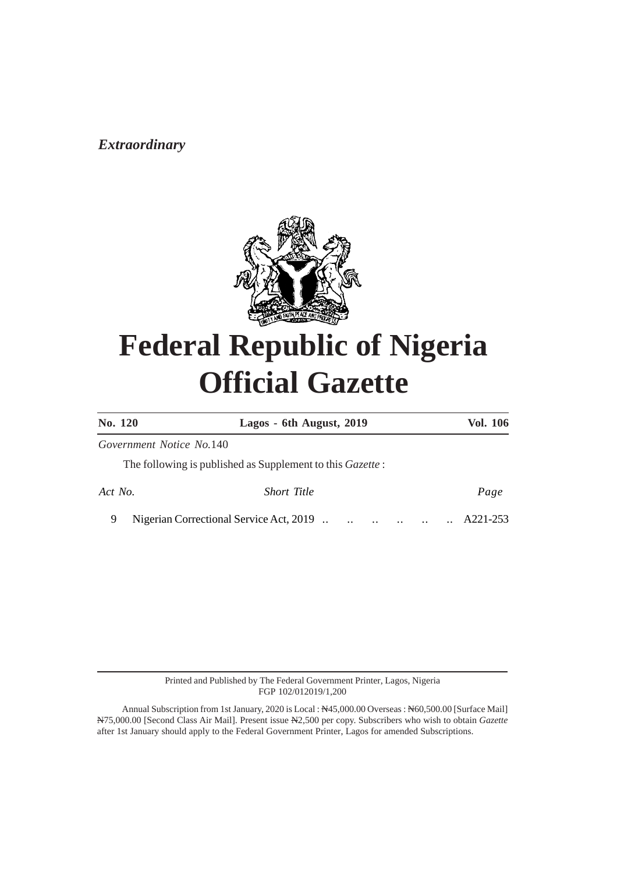# *Nightlerian Correctionary* **2019**



# **Federal Republic of Nigeria Official Gazette**

| <b>No. 120</b>           | Lagos - 6th August, 2019                                                     | Vol. 106                                                   |
|--------------------------|------------------------------------------------------------------------------|------------------------------------------------------------|
| Government Notice No.140 |                                                                              |                                                            |
|                          | The following is published as Supplement to this <i>Gazette</i> :            |                                                            |
| Act No.                  | <b>Short Title</b>                                                           | Page                                                       |
|                          | Nigerian Correctional Service Act, 2019<br>$\ddotsc$<br>$\ddot{\phantom{0}}$ | A221-253<br>$\ddotsc$<br>$\ddotsc$<br>$\ddot{\phantom{0}}$ |

Printed and Published by The Federal Government Printer, Lagos, Nigeria FGP 102/012019/1,200

Annual Subscription from 1st January, 2020 is Local : N45,000.00 Overseas : N60,500.00 [Surface Mail] N75,000.00 [Second Class Air Mail]. Present issue N2,500 per copy. Subscribers who wish to obtain *Gazette* after 1st January should apply to the Federal Government Printer, Lagos for amended Subscriptions.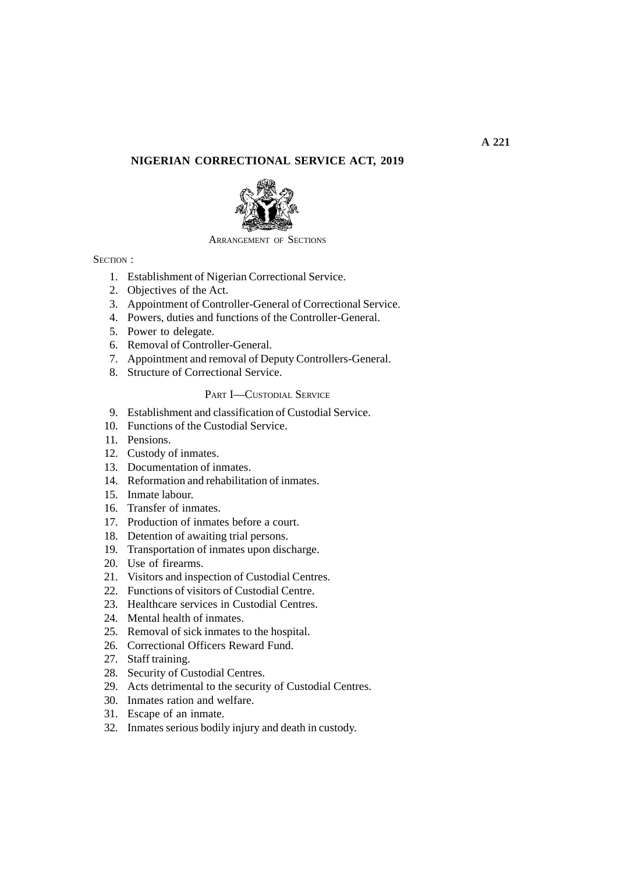# **NIGERIAN CORRECTIONAL SERVICE ACT, 2019**



#### ARRANGEMENT OF SECTIONS

## SECTION :

- 1. Establishment of Nigerian Correctional Service.
- 2. Objectives of the Act.
- 3. Appointment of Controller-General of Correctional Service.
- 4. Powers, duties and functions of the Controller-General.
- 5. Power to delegate.
- 6. Removal of Controller-General.
- 7. Appointment and removal of Deputy Controllers-General.
- 8. Structure of Correctional Service.

#### PART I—CUSTODIAL SERVICE

- 9. Establishment and classification of Custodial Service.
- 10. Functions of the Custodial Service.
- 11. Pensions.
- 12. Custody of inmates.
- 13. Documentation of inmates.
- 14. Reformation and rehabilitation of inmates.
- 15. Inmate labour.
- 16. Transfer of inmates.
- 17. Production of inmates before a court.
- 18. Detention of awaiting trial persons.
- 19. Transportation of inmates upon discharge.
- 20. Use of firearms.
- 21. Visitors and inspection of Custodial Centres.
- 22. Functions of visitors of Custodial Centre.
- 23. Healthcare services in Custodial Centres.
- 24. Mental health of inmates.
- 25. Removal of sick inmates to the hospital.
- 26. Correctional Officers Reward Fund.
- 27. Staff training.
- 28. Security of Custodial Centres.
- 29. Acts detrimental to the security of Custodial Centres.
- 30. Inmates ration and welfare.
- 31. Escape of an inmate.
- 32. Inmates serious bodily injury and death in custody.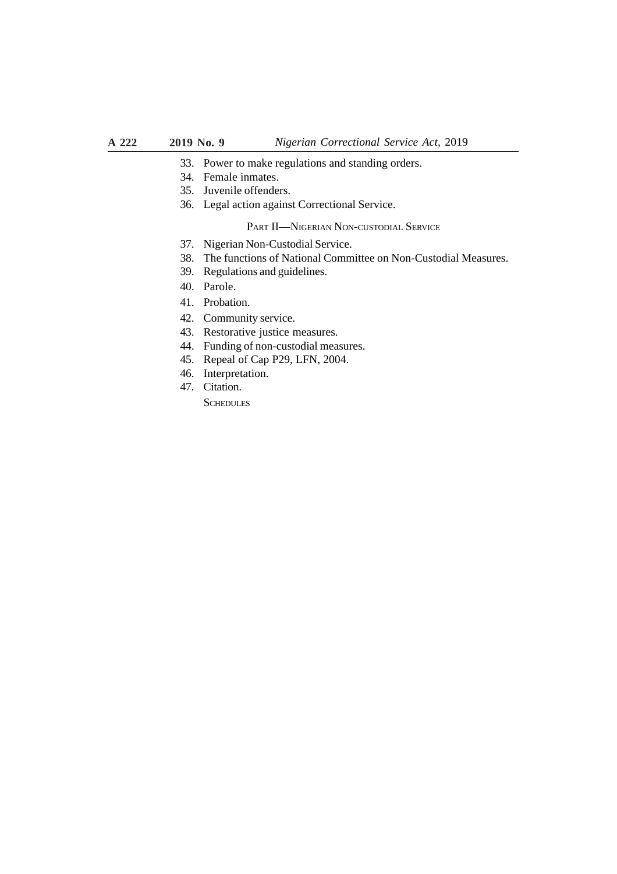- 33. Power to make regulations and standing orders.
- 34. Female inmates.
- 35. Juvenile offenders.
- 36. Legal action against Correctional Service.

## PART II—NIGERIAN NON-CUSTODIAL SERVICE

- 37. Nigerian Non-Custodial Service.
- 38. The functions of National Committee on Non-Custodial Measures.
- 39. Regulations and guidelines.
- 40. Parole.
- 41. Probation.
- 42. Community service.
- 43. Restorative justice measures.
- 44. Funding of non-custodial measures.
- 45. Repeal of Cap P29, LFN, 2004.
- 46. Interpretation.
- 47. Citation.

**SCHEDULES**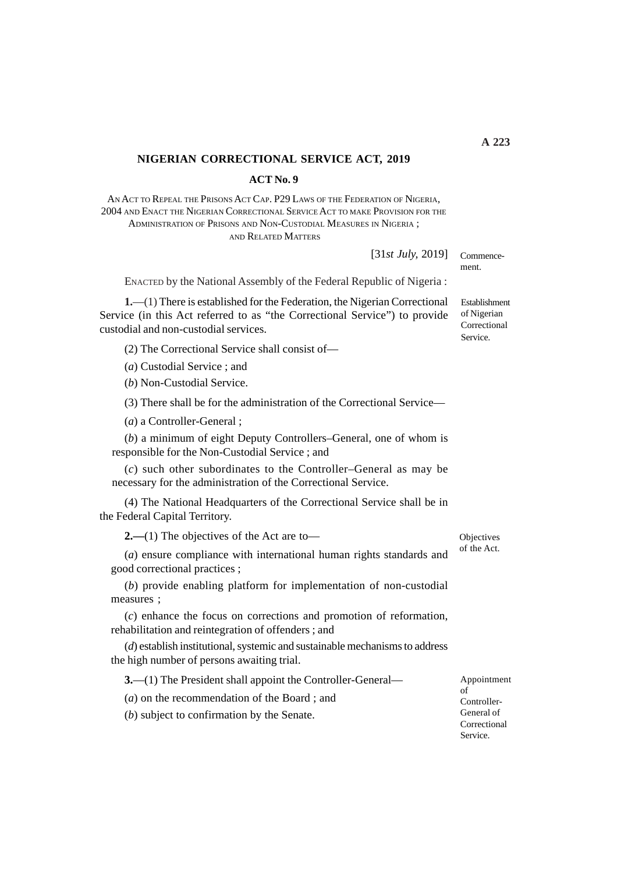#### **NIGERIAN CORRECTIONAL SERVICE ACT, 2019**

**ACT No. 9**

AN ACT TO REPEAL THE PRISONS ACT CAP. P29 LAWS OF THE FEDERATION OF NIGERIA, 2004 AND ENACT THE NIGERIAN CORRECTIONAL SERVICE ACT TO MAKE PROVISION FOR THE ADMINISTRATION OF PRISONS AND NON-CUSTODIAL MEASURES IN NIGERIA ; AND RELATED MATTERS

[31*st July,* 2019]

ENACTED by the National Assembly of the Federal Republic of Nigeria :

**1.**—(1) There is established for the Federation, the Nigerian Correctional Service (in this Act referred to as "the Correctional Service") to provide custodial and non-custodial services.

(2) The Correctional Service shall consist of—

(*a*) Custodial Service ; and

(*b*) Non-Custodial Service.

(3) There shall be for the administration of the Correctional Service—

(*a*) a Controller-General ;

(*b*) a minimum of eight Deputy Controllers–General, one of whom is responsible for the Non-Custodial Service ; and

(*c*) such other subordinates to the Controller–General as may be necessary for the administration of the Correctional Service.

(4) The National Headquarters of the Correctional Service shall be in the Federal Capital Territory.

**2.—**(1) The objectives of the Act are to—

(*a*) ensure compliance with international human rights standards and good correctional practices ;

(*b*) provide enabling platform for implementation of non-custodial measures ;

(*c*) enhance the focus on corrections and promotion of reformation, rehabilitation and reintegration of offenders ; and

(*d*) establish institutional, systemic and sustainable mechanisms to address the high number of persons awaiting trial.

**3.**—(1) The President shall appoint the Controller-General—

(*a*) on the recommendation of the Board ; and

(*b*) subject to confirmation by the Senate.

**Objectives** of the Act.

Establishment of Nigerian Correctional

Service.

Commencement.

of Controller-General of Correctional Service.

Appointment

*Nigerian Correctional Service Act,* 2019 **2019 No. 9 A 223**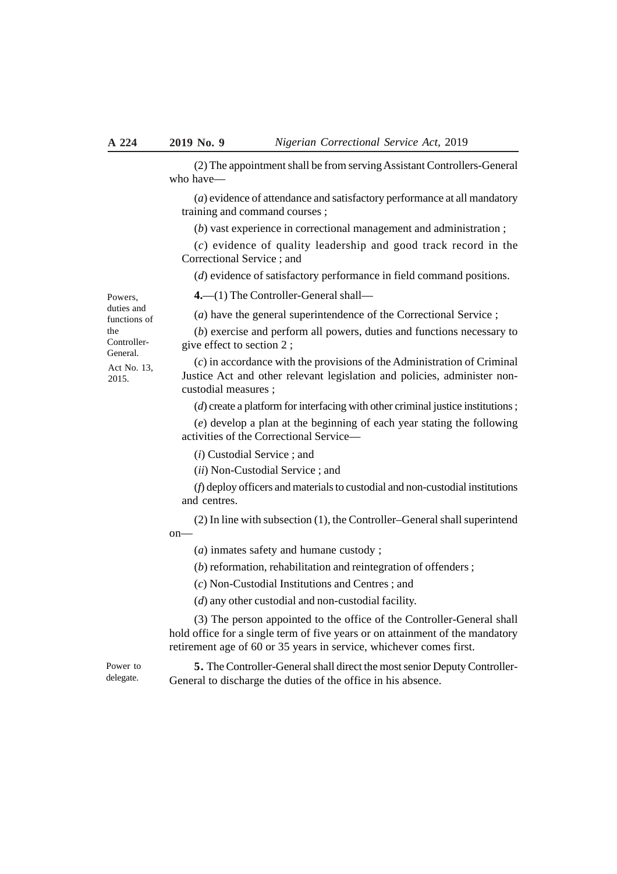(2) The appointment shall be from serving Assistant Controllers-General who have—

(*a*) evidence of attendance and satisfactory performance at all mandatory training and command courses ;

(*b*) vast experience in correctional management and administration ;

(*c*) evidence of quality leadership and good track record in the Correctional Service ; and

(*d*) evidence of satisfactory performance in field command positions.

**4.**—(1) The Controller-General shall—

(*a*) have the general superintendence of the Correctional Service ;

(*b*) exercise and perform all powers, duties and functions necessary to give effect to section 2 ;

(*c*) in accordance with the provisions of the Administration of Criminal Justice Act and other relevant legislation and policies, administer noncustodial measures ;

(*d*) create a platform for interfacing with other criminal justice institutions ;

(*e*) develop a plan at the beginning of each year stating the following activities of the Correctional Service—

(*i*) Custodial Service ; and

(*ii*) Non-Custodial Service ; and

(*f*) deploy officers and materials to custodial and non-custodial institutions and centres.

(2) In line with subsection (1), the Controller–General shall superintend on—

(*a*) inmates safety and humane custody ;

(*b*) reformation, rehabilitation and reintegration of offenders ;

(*c*) Non-Custodial Institutions and Centres ; and

(*d*) any other custodial and non-custodial facility.

(3) The person appointed to the office of the Controller-General shall hold office for a single term of five years or on attainment of the mandatory retirement age of 60 or 35 years in service, whichever comes first.

Power to delegate.

**5.** The Controller-General shall direct the most senior Deputy Controller-General to discharge the duties of the office in his absence.

Powers, duties and functions of the Controller-General. Act No. 13,

2015.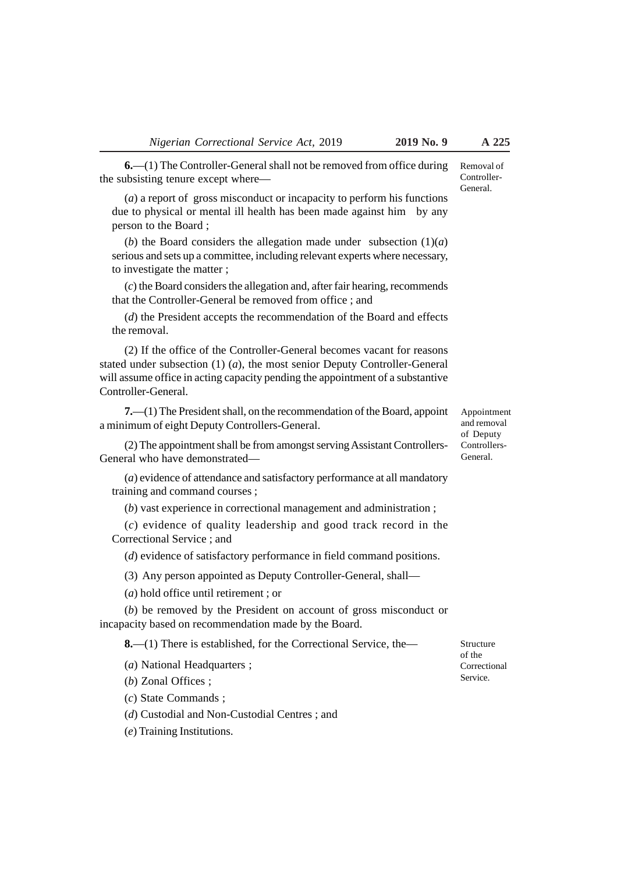the subsisting tenure except where—

**6.**—(1) The Controller-General shall not be removed from office during Removal of Controller-General.

(*a*) a report of gross misconduct or incapacity to perform his functions due to physical or mental ill health has been made against him by any person to the Board ;

(*b*) the Board considers the allegation made under subsection  $(1)(a)$ serious and sets up a committee, including relevant experts where necessary, to investigate the matter ;

(*c*) the Board considers the allegation and, after fair hearing, recommends that the Controller-General be removed from office ; and

(*d*) the President accepts the recommendation of the Board and effects the removal.

(2) If the office of the Controller-General becomes vacant for reasons stated under subsection (1) (*a*), the most senior Deputy Controller-General will assume office in acting capacity pending the appointment of a substantive Controller-General.

**7.**—(1) The President shall, on the recommendation of the Board, appoint a minimum of eight Deputy Controllers-General.

(2) The appointment shall be from amongst serving Assistant Controllers-General who have demonstrated—

(*a*) evidence of attendance and satisfactory performance at all mandatory training and command courses ;

(*b*) vast experience in correctional management and administration ;

(*c*) evidence of quality leadership and good track record in the Correctional Service ; and

(*d*) evidence of satisfactory performance in field command positions.

(3) Any person appointed as Deputy Controller-General, shall—

(*a*) hold office until retirement ; or

(*b*) be removed by the President on account of gross misconduct or incapacity based on recommendation made by the Board.

**8.**—(1) There is established, for the Correctional Service, the—

(*a*) National Headquarters ;

(*b*) Zonal Offices ;

(*c*) State Commands ;

(*d*) Custodial and Non-Custodial Centres ; and

(*e*) Training Institutions.

Structure of the Correctional Service.

Appointment and removal of Deputy Controllers-General.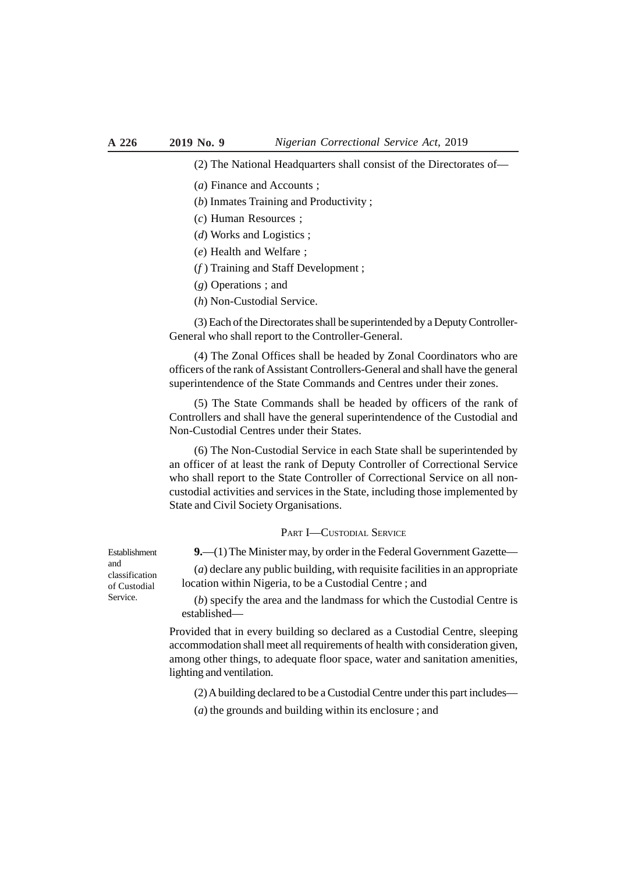(2) The National Headquarters shall consist of the Directorates of—

- (*a*) Finance and Accounts ;
- (*b*) Inmates Training and Productivity ;
- (*c*) Human Resources ;
- (*d*) Works and Logistics ;
- (*e*) Health and Welfare ;
- (*f* ) Training and Staff Development ;
- (*g*) Operations ; and
- (*h*) Non-Custodial Service.

(3) Each of the Directorates shall be superintended by a Deputy Controller-General who shall report to the Controller-General.

(4) The Zonal Offices shall be headed by Zonal Coordinators who are officers of the rank of Assistant Controllers-General and shall have the general superintendence of the State Commands and Centres under their zones.

(5) The State Commands shall be headed by officers of the rank of Controllers and shall have the general superintendence of the Custodial and Non-Custodial Centres under their States.

(6) The Non-Custodial Service in each State shall be superintended by an officer of at least the rank of Deputy Controller of Correctional Service who shall report to the State Controller of Correctional Service on all noncustodial activities and services in the State, including those implemented by State and Civil Society Organisations.

PART I—CUSTODIAL SERVICE

**9.**—(1) The Minister may, by order in the Federal Government Gazette—

(*a*) declare any public building, with requisite facilities in an appropriate location within Nigeria, to be a Custodial Centre ; and

(*b*) specify the area and the landmass for which the Custodial Centre is established—

Provided that in every building so declared as a Custodial Centre, sleeping accommodation shall meet all requirements of health with consideration given, among other things, to adequate floor space, water and sanitation amenities, lighting and ventilation.

(2) A building declared to be a Custodial Centre under this part includes—

(*a*) the grounds and building within its enclosure ; and

Establishment and classification of Custodial Service.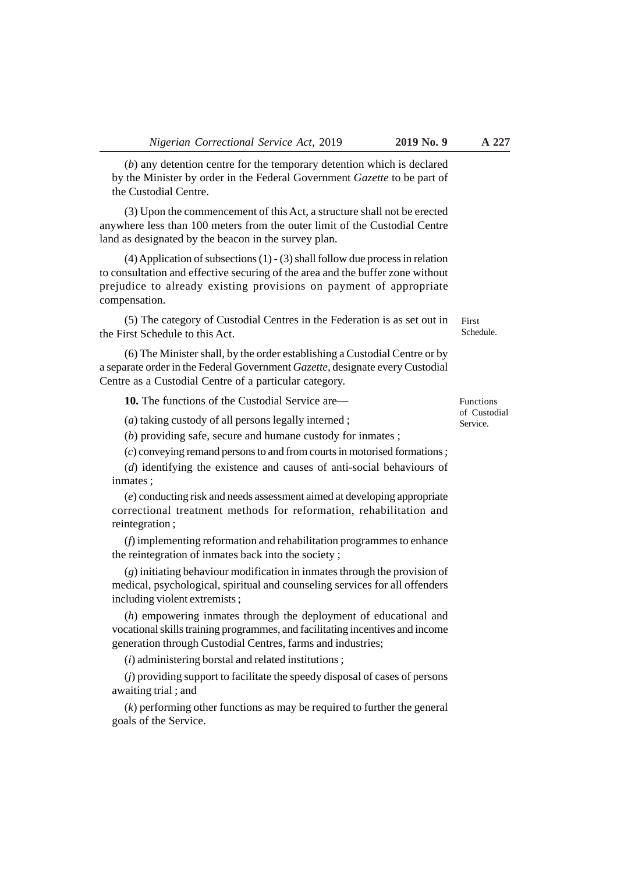(*b*) any detention centre for the temporary detention which is declared by the Minister by order in the Federal Government *Gazette* to be part of the Custodial Centre.

(3) Upon the commencement of this Act, a structure shall not be erected anywhere less than 100 meters from the outer limit of the Custodial Centre land as designated by the beacon in the survey plan.

(4) Application of subsections (1) - (3) shall follow due process in relation to consultation and effective securing of the area and the buffer zone without prejudice to already existing provisions on payment of appropriate compensation.

(5) The category of Custodial Centres in the Federation is as set out in the First Schedule to this Act.

(6) The Minister shall, by the order establishing a Custodial Centre or by a separate order in the Federal Government *Gazette*, designate every Custodial Centre as a Custodial Centre of a particular category.

**10.** The functions of the Custodial Service are—

(*a*) taking custody of all persons legally interned ;

(*b*) providing safe, secure and humane custody for inmates ;

(*c*) conveying remand persons to and from courts in motorised formations ;

(*d*) identifying the existence and causes of anti-social behaviours of inmates ;

(*e*) conducting risk and needs assessment aimed at developing appropriate correctional treatment methods for reformation, rehabilitation and reintegration ;

(*f*) implementing reformation and rehabilitation programmes to enhance the reintegration of inmates back into the society ;

(*g*) initiating behaviour modification in inmates through the provision of medical, psychological, spiritual and counseling services for all offenders including violent extremists ;

(*h*) empowering inmates through the deployment of educational and vocational skills training programmes, and facilitating incentives and income generation through Custodial Centres, farms and industries;

(*i*) administering borstal and related institutions ;

(*j*) providing support to facilitate the speedy disposal of cases of persons awaiting trial ; and

(*k*) performing other functions as may be required to further the general goals of the Service.

Functions of Custodial Service.

First Schedule.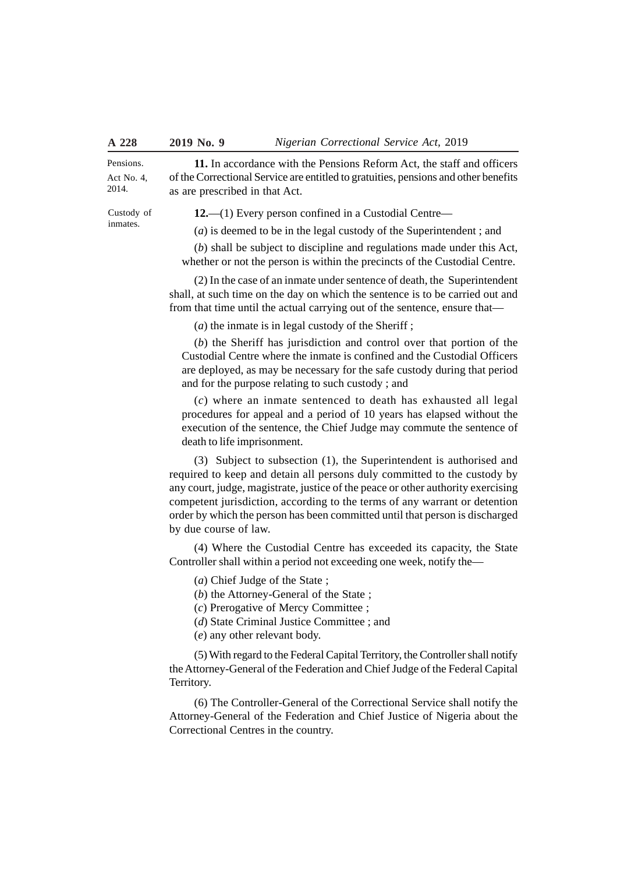Pensions. Act No. 4, 2014.

**11.** In accordance with the Pensions Reform Act, the staff and officers of the Correctional Service are entitled to gratuities, pensions and other benefits as are prescribed in that Act.

Custody of inmates.

**12.**—(1) Every person confined in a Custodial Centre—

(*a*) is deemed to be in the legal custody of the Superintendent ; and

(*b*) shall be subject to discipline and regulations made under this Act, whether or not the person is within the precincts of the Custodial Centre.

(2) In the case of an inmate under sentence of death, the Superintendent shall, at such time on the day on which the sentence is to be carried out and from that time until the actual carrying out of the sentence, ensure that—

(*a*) the inmate is in legal custody of the Sheriff ;

(*b*) the Sheriff has jurisdiction and control over that portion of the Custodial Centre where the inmate is confined and the Custodial Officers are deployed, as may be necessary for the safe custody during that period and for the purpose relating to such custody ; and

(*c*) where an inmate sentenced to death has exhausted all legal procedures for appeal and a period of 10 years has elapsed without the execution of the sentence, the Chief Judge may commute the sentence of death to life imprisonment.

(3) Subject to subsection (1), the Superintendent is authorised and required to keep and detain all persons duly committed to the custody by any court, judge, magistrate, justice of the peace or other authority exercising competent jurisdiction, according to the terms of any warrant or detention order by which the person has been committed until that person is discharged by due course of law.

(4) Where the Custodial Centre has exceeded its capacity, the State Controller shall within a period not exceeding one week, notify the—

(*a*) Chief Judge of the State ;

(*b*) the Attorney-General of the State ;

(*c*) Prerogative of Mercy Committee ;

(*d*) State Criminal Justice Committee ; and

(*e*) any other relevant body.

(5) With regard to the Federal Capital Territory, the Controller shall notify the Attorney-General of the Federation and Chief Judge of the Federal Capital Territory.

(6) The Controller-General of the Correctional Service shall notify the Attorney-General of the Federation and Chief Justice of Nigeria about the Correctional Centres in the country.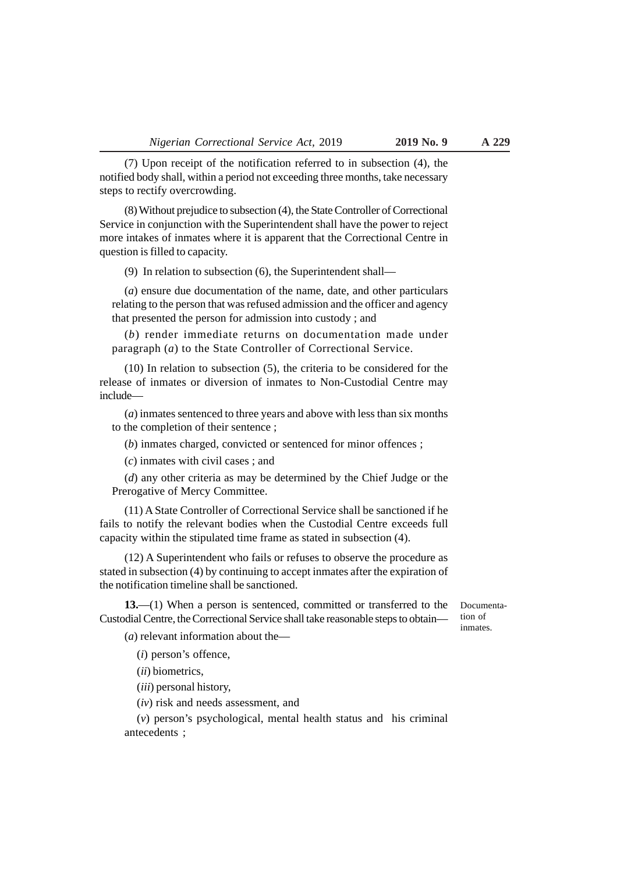(7) Upon receipt of the notification referred to in subsection (4), the notified body shall, within a period not exceeding three months, take necessary

(8) Without prejudice to subsection (4), the State Controller of Correctional Service in conjunction with the Superintendent shall have the power to reject more intakes of inmates where it is apparent that the Correctional Centre in

(9) In relation to subsection (6), the Superintendent shall—

(*a*) ensure due documentation of the name, date, and other particulars relating to the person that was refused admission and the officer and agency that presented the person for admission into custody ; and

(*b*) render immediate returns on documentation made under paragraph (*a*) to the State Controller of Correctional Service.

(10) In relation to subsection (5), the criteria to be considered for the release of inmates or diversion of inmates to Non-Custodial Centre may include—

(*a*) inmates sentenced to three years and above with less than six months to the completion of their sentence ;

(*b*) inmates charged, convicted or sentenced for minor offences ;

(*c*) inmates with civil cases ; and

steps to rectify overcrowding.

question is filled to capacity.

(*d*) any other criteria as may be determined by the Chief Judge or the Prerogative of Mercy Committee.

(11) A State Controller of Correctional Service shall be sanctioned if he fails to notify the relevant bodies when the Custodial Centre exceeds full capacity within the stipulated time frame as stated in subsection (4).

(12) A Superintendent who fails or refuses to observe the procedure as stated in subsection (4) by continuing to accept inmates after the expiration of the notification timeline shall be sanctioned.

**13.**—(1) When a person is sentenced, committed or transferred to the Custodial Centre, the Correctional Service shall take reasonable steps to obtain—

(*a*) relevant information about the—

(*i*) person's offence,

(*ii*) biometrics,

(*iii*) personal history,

(*iv*) risk and needs assessment, and

(*v*) person's psychological, mental health status and his criminal antecedents ;

Documentation of inmates.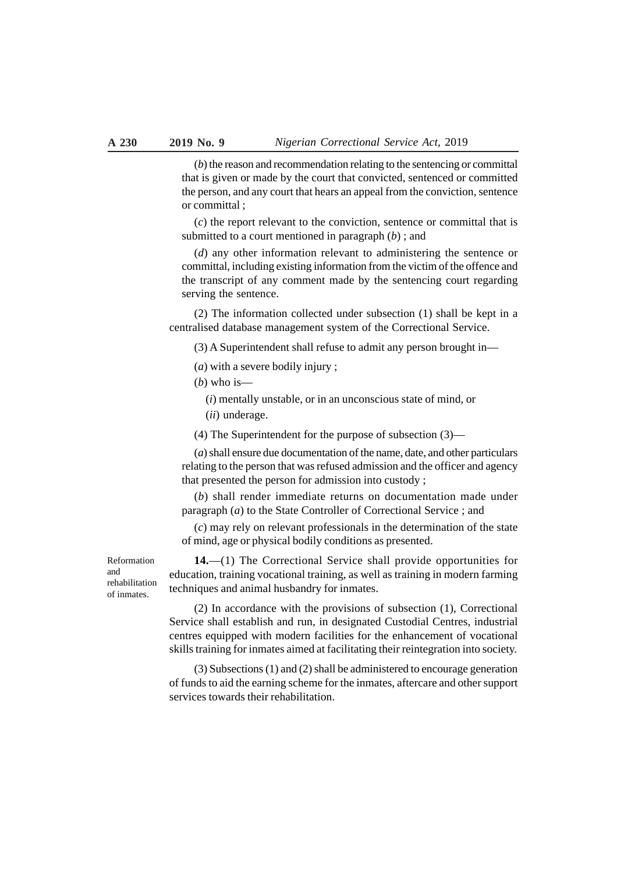(*b*) the reason and recommendation relating to the sentencing or committal that is given or made by the court that convicted, sentenced or committed the person, and any court that hears an appeal from the conviction, sentence or committal ;

(*c*) the report relevant to the conviction, sentence or committal that is submitted to a court mentioned in paragraph (*b*) ; and

(*d*) any other information relevant to administering the sentence or committal, including existing information from the victim of the offence and the transcript of any comment made by the sentencing court regarding serving the sentence.

(2) The information collected under subsection (1) shall be kept in a centralised database management system of the Correctional Service.

(3) A Superintendent shall refuse to admit any person brought in—

(*a*) with a severe bodily injury ;

 $(b)$  who is—

(*i*) mentally unstable, or in an unconscious state of mind, or

(*ii*) underage.

(4) The Superintendent for the purpose of subsection (3)—

(*a*) shall ensure due documentation of the name, date, and other particulars relating to the person that was refused admission and the officer and agency that presented the person for admission into custody ;

(*b*) shall render immediate returns on documentation made under paragraph (*a*) to the State Controller of Correctional Service ; and

(*c*) may rely on relevant professionals in the determination of the state of mind, age or physical bodily conditions as presented.

Reformation and rehabilitation of inmates.

**14.**—(1) The Correctional Service shall provide opportunities for education, training vocational training, as well as training in modern farming techniques and animal husbandry for inmates.

(2) In accordance with the provisions of subsection (1), Correctional Service shall establish and run, in designated Custodial Centres, industrial centres equipped with modern facilities for the enhancement of vocational skills training for inmates aimed at facilitating their reintegration into society.

(3) Subsections (1) and (2) shall be administered to encourage generation of funds to aid the earning scheme for the inmates, aftercare and other support services towards their rehabilitation.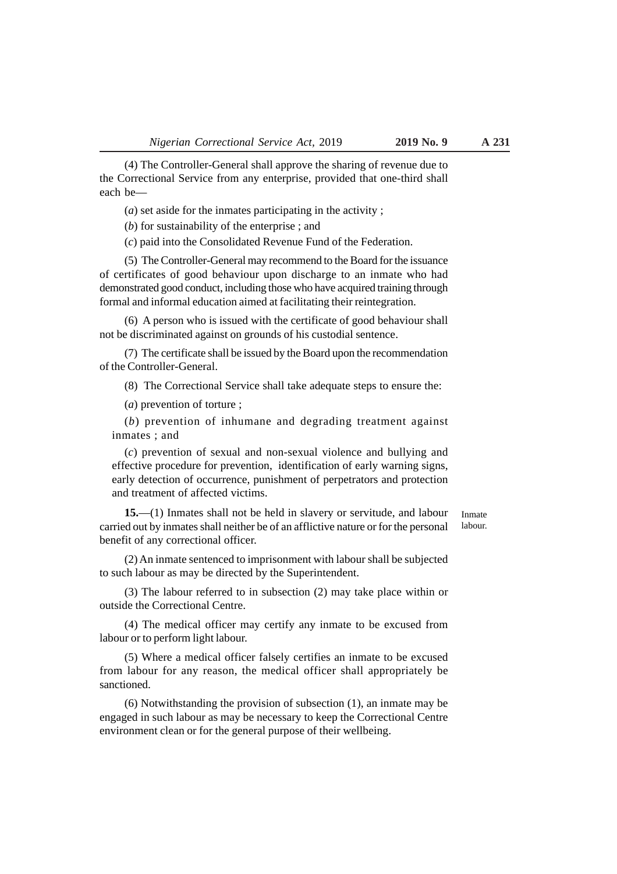(4) The Controller-General shall approve the sharing of revenue due to the Correctional Service from any enterprise, provided that one-third shall each be—

(*a*) set aside for the inmates participating in the activity ;

(*b*) for sustainability of the enterprise ; and

(*c*) paid into the Consolidated Revenue Fund of the Federation.

(5) The Controller-General may recommend to the Board for the issuance of certificates of good behaviour upon discharge to an inmate who had demonstrated good conduct, including those who have acquired training through formal and informal education aimed at facilitating their reintegration.

(6) A person who is issued with the certificate of good behaviour shall not be discriminated against on grounds of his custodial sentence.

(7) The certificate shall be issued by the Board upon the recommendation of the Controller-General.

(8) The Correctional Service shall take adequate steps to ensure the:

(*a*) prevention of torture ;

(*b*) prevention of inhumane and degrading treatment against inmates ; and

(*c*) prevention of sexual and non-sexual violence and bullying and effective procedure for prevention, identification of early warning signs, early detection of occurrence, punishment of perpetrators and protection and treatment of affected victims.

**15.**—(1) Inmates shall not be held in slavery or servitude, and labour carried out by inmates shall neither be of an afflictive nature or for the personal benefit of any correctional officer.

Inmate labour.

(2) An inmate sentenced to imprisonment with labour shall be subjected to such labour as may be directed by the Superintendent.

(3) The labour referred to in subsection (2) may take place within or outside the Correctional Centre.

(4) The medical officer may certify any inmate to be excused from labour or to perform light labour.

(5) Where a medical officer falsely certifies an inmate to be excused from labour for any reason, the medical officer shall appropriately be sanctioned.

(6) Notwithstanding the provision of subsection (1), an inmate may be engaged in such labour as may be necessary to keep the Correctional Centre environment clean or for the general purpose of their wellbeing.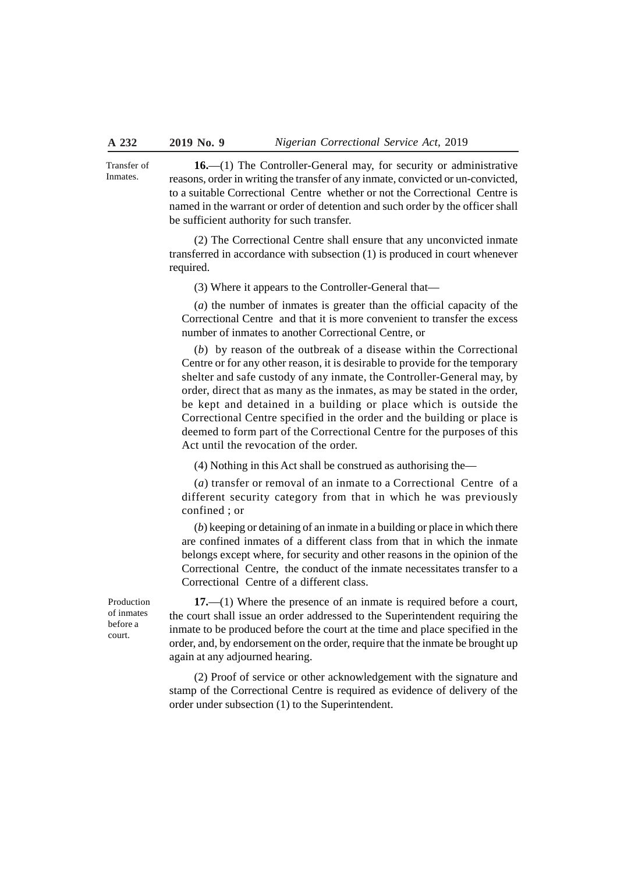**16.**—(1) The Controller-General may, for security or administrative reasons, order in writing the transfer of any inmate, convicted or un-convicted, to a suitable Correctional Centre whether or not the Correctional Centre is named in the warrant or order of detention and such order by the officer shall be sufficient authority for such transfer. Transfer of **Inmates** 

> (2) The Correctional Centre shall ensure that any unconvicted inmate transferred in accordance with subsection (1) is produced in court whenever required.

(3) Where it appears to the Controller-General that—

(*a*) the number of inmates is greater than the official capacity of the Correctional Centre and that it is more convenient to transfer the excess number of inmates to another Correctional Centre, or

(*b*) by reason of the outbreak of a disease within the Correctional Centre or for any other reason, it is desirable to provide for the temporary shelter and safe custody of any inmate, the Controller-General may, by order, direct that as many as the inmates, as may be stated in the order, be kept and detained in a building or place which is outside the Correctional Centre specified in the order and the building or place is deemed to form part of the Correctional Centre for the purposes of this Act until the revocation of the order.

(4) Nothing in this Act shall be construed as authorising the—

(*a*) transfer or removal of an inmate to a Correctional Centre of a different security category from that in which he was previously confined ; or

(*b*) keeping or detaining of an inmate in a building or place in which there are confined inmates of a different class from that in which the inmate belongs except where, for security and other reasons in the opinion of the Correctional Centre, the conduct of the inmate necessitates transfer to a Correctional Centre of a different class.

Production of inmates before a court.

**17.**—(1) Where the presence of an inmate is required before a court, the court shall issue an order addressed to the Superintendent requiring the inmate to be produced before the court at the time and place specified in the order, and, by endorsement on the order, require that the inmate be brought up again at any adjourned hearing.

(2) Proof of service or other acknowledgement with the signature and stamp of the Correctional Centre is required as evidence of delivery of the order under subsection (1) to the Superintendent.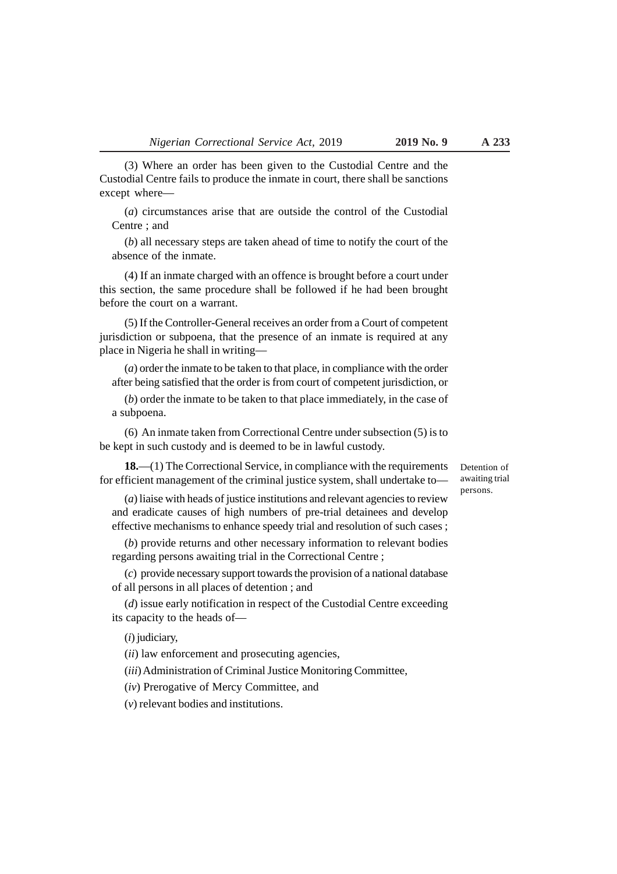(3) Where an order has been given to the Custodial Centre and the Custodial Centre fails to produce the inmate in court, there shall be sanctions except where—

(*a*) circumstances arise that are outside the control of the Custodial Centre ; and

(*b*) all necessary steps are taken ahead of time to notify the court of the absence of the inmate.

(4) If an inmate charged with an offence is brought before a court under this section, the same procedure shall be followed if he had been brought before the court on a warrant.

(5) If the Controller-General receives an order from a Court of competent jurisdiction or subpoena, that the presence of an inmate is required at any place in Nigeria he shall in writing—

(*a*) order the inmate to be taken to that place, in compliance with the order after being satisfied that the order is from court of competent jurisdiction, or

(*b*) order the inmate to be taken to that place immediately, in the case of a subpoena.

(6) An inmate taken from Correctional Centre under subsection (5) is to be kept in such custody and is deemed to be in lawful custody.

**18.**—(1) The Correctional Service, in compliance with the requirements for efficient management of the criminal justice system, shall undertake to—

Detention of awaiting trial persons.

(*a*) liaise with heads of justice institutions and relevant agencies to review and eradicate causes of high numbers of pre-trial detainees and develop effective mechanisms to enhance speedy trial and resolution of such cases ;

(*b*) provide returns and other necessary information to relevant bodies regarding persons awaiting trial in the Correctional Centre ;

(*c*) provide necessary support towards the provision of a national database of all persons in all places of detention ; and

(*d*) issue early notification in respect of the Custodial Centre exceeding its capacity to the heads of—

(*i*) judiciary,

(*ii*) law enforcement and prosecuting agencies,

(*iii*) Administration of Criminal Justice Monitoring Committee,

(*iv*) Prerogative of Mercy Committee, and

(*v*) relevant bodies and institutions.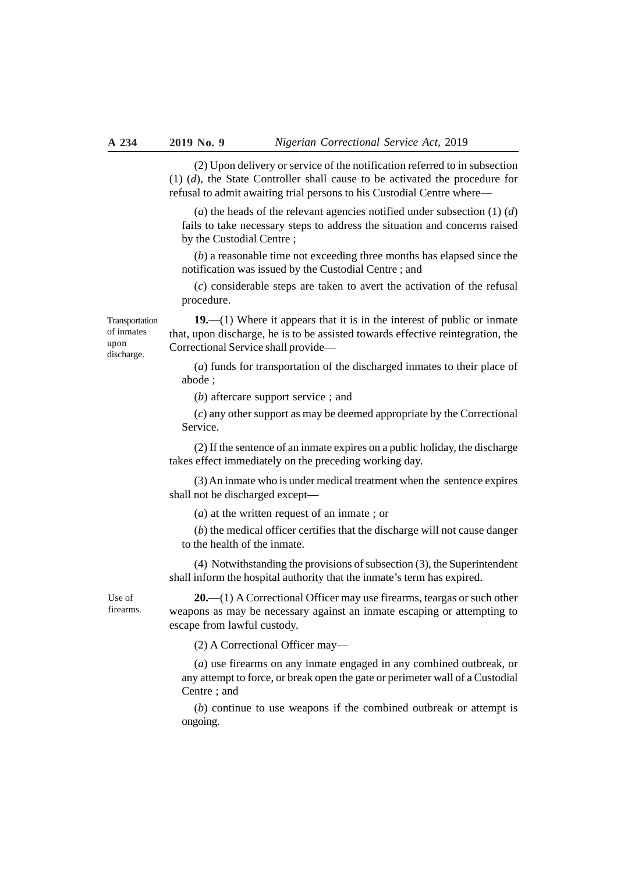(2) Upon delivery or service of the notification referred to in subsection (1) (*d*), the State Controller shall cause to be activated the procedure for refusal to admit awaiting trial persons to his Custodial Centre where—

(*a*) the heads of the relevant agencies notified under subsection (1) (*d*) fails to take necessary steps to address the situation and concerns raised by the Custodial Centre ;

(*b*) a reasonable time not exceeding three months has elapsed since the notification was issued by the Custodial Centre ; and

(*c*) considerable steps are taken to avert the activation of the refusal procedure.

**19.**—(1) Where it appears that it is in the interest of public or inmate that, upon discharge, he is to be assisted towards effective reintegration, the Correctional Service shall provide— Transportation

> (*a*) funds for transportation of the discharged inmates to their place of abode ;

(*b*) aftercare support service ; and

(*c*) any other support as may be deemed appropriate by the Correctional Service.

(2) If the sentence of an inmate expires on a public holiday, the discharge takes effect immediately on the preceding working day.

(3) An inmate who is under medical treatment when the sentence expires shall not be discharged except—

(*a*) at the written request of an inmate ; or

(*b*) the medical officer certifies that the discharge will not cause danger to the health of the inmate.

(4) Notwithstanding the provisions of subsection (3), the Superintendent shall inform the hospital authority that the inmate's term has expired.

Use of firearms.

of inmates upon discharge.

> **20.**—(1) A Correctional Officer may use firearms, teargas or such other weapons as may be necessary against an inmate escaping or attempting to escape from lawful custody.

(2) A Correctional Officer may—

(*a*) use firearms on any inmate engaged in any combined outbreak, or any attempt to force, or break open the gate or perimeter wall of a Custodial Centre ; and

(*b*) continue to use weapons if the combined outbreak or attempt is ongoing.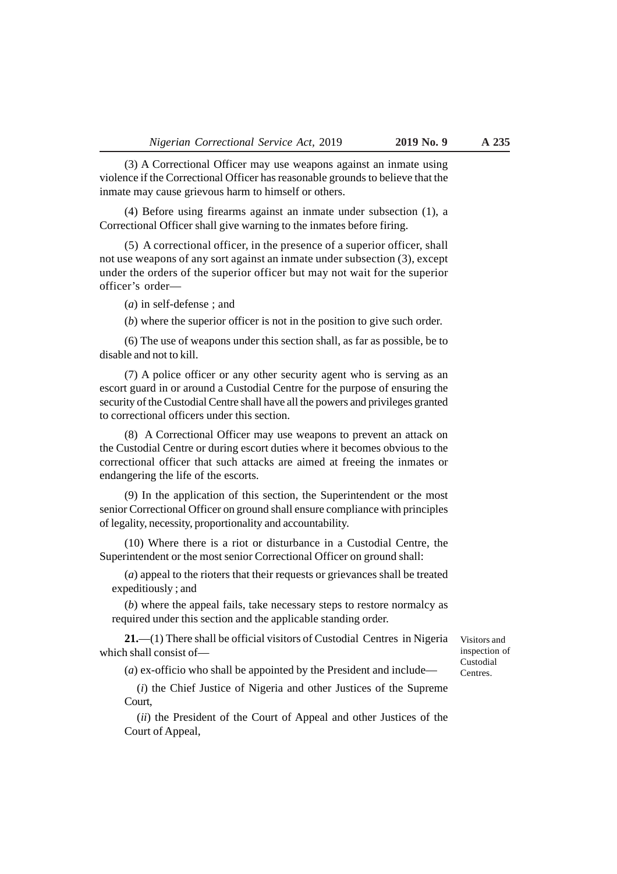(3) A Correctional Officer may use weapons against an inmate using violence if the Correctional Officer has reasonable grounds to believe that the inmate may cause grievous harm to himself or others.

(4) Before using firearms against an inmate under subsection (1), a Correctional Officer shall give warning to the inmates before firing.

(5) A correctional officer, in the presence of a superior officer, shall not use weapons of any sort against an inmate under subsection (3), except under the orders of the superior officer but may not wait for the superior officer's order—

(*a*) in self-defense ; and

(*b*) where the superior officer is not in the position to give such order.

(6) The use of weapons under this section shall, as far as possible, be to disable and not to kill.

(7) A police officer or any other security agent who is serving as an escort guard in or around a Custodial Centre for the purpose of ensuring the security of the Custodial Centre shall have all the powers and privileges granted to correctional officers under this section.

(8) A Correctional Officer may use weapons to prevent an attack on the Custodial Centre or during escort duties where it becomes obvious to the correctional officer that such attacks are aimed at freeing the inmates or endangering the life of the escorts.

(9) In the application of this section, the Superintendent or the most senior Correctional Officer on ground shall ensure compliance with principles of legality, necessity, proportionality and accountability.

(10) Where there is a riot or disturbance in a Custodial Centre, the Superintendent or the most senior Correctional Officer on ground shall:

(*a*) appeal to the rioters that their requests or grievances shall be treated expeditiously ; and

(*b*) where the appeal fails, take necessary steps to restore normalcy as required under this section and the applicable standing order.

**21.**—(1) There shall be official visitors of Custodial Centres in Nigeria which shall consist of—

(*a*) ex-officio who shall be appointed by the President and include—

(*i*) the Chief Justice of Nigeria and other Justices of the Supreme Court,

(*ii*) the President of the Court of Appeal and other Justices of the Court of Appeal,

Visitors and inspection of Custodial Centres.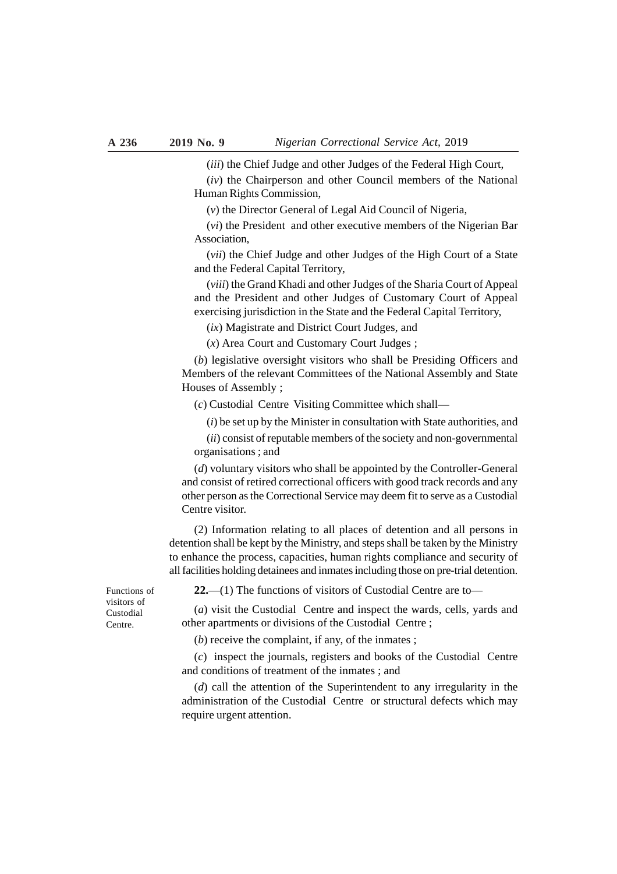(*iii*) the Chief Judge and other Judges of the Federal High Court,

(*iv*) the Chairperson and other Council members of the National Human Rights Commission,

(*v*) the Director General of Legal Aid Council of Nigeria,

(*vi*) the President and other executive members of the Nigerian Bar Association,

(*vii*) the Chief Judge and other Judges of the High Court of a State and the Federal Capital Territory,

(*viii*) the Grand Khadi and other Judges of the Sharia Court of Appeal and the President and other Judges of Customary Court of Appeal exercising jurisdiction in the State and the Federal Capital Territory,

(*ix*) Magistrate and District Court Judges, and

(*x*) Area Court and Customary Court Judges ;

(*b*) legislative oversight visitors who shall be Presiding Officers and Members of the relevant Committees of the National Assembly and State Houses of Assembly ;

(*c*) Custodial Centre Visiting Committee which shall—

(*i*) be set up by the Minister in consultation with State authorities, and

(*ii*) consist of reputable members of the society and non-governmental organisations ; and

(*d*) voluntary visitors who shall be appointed by the Controller-General and consist of retired correctional officers with good track records and any other person as the Correctional Service may deem fit to serve as a Custodial Centre visitor.

(2) Information relating to all places of detention and all persons in detention shall be kept by the Ministry, and steps shall be taken by the Ministry to enhance the process, capacities, human rights compliance and security of all facilities holding detainees and inmates including those on pre-trial detention.

**22.**—(1) The functions of visitors of Custodial Centre are to—

(*a*) visit the Custodial Centre and inspect the wards, cells, yards and other apartments or divisions of the Custodial Centre ;

(*b*) receive the complaint, if any, of the inmates ;

(*c*) inspect the journals, registers and books of the Custodial Centre and conditions of treatment of the inmates ; and

(*d*) call the attention of the Superintendent to any irregularity in the administration of the Custodial Centre or structural defects which may require urgent attention.

Functions of visitors of Custodial Centre.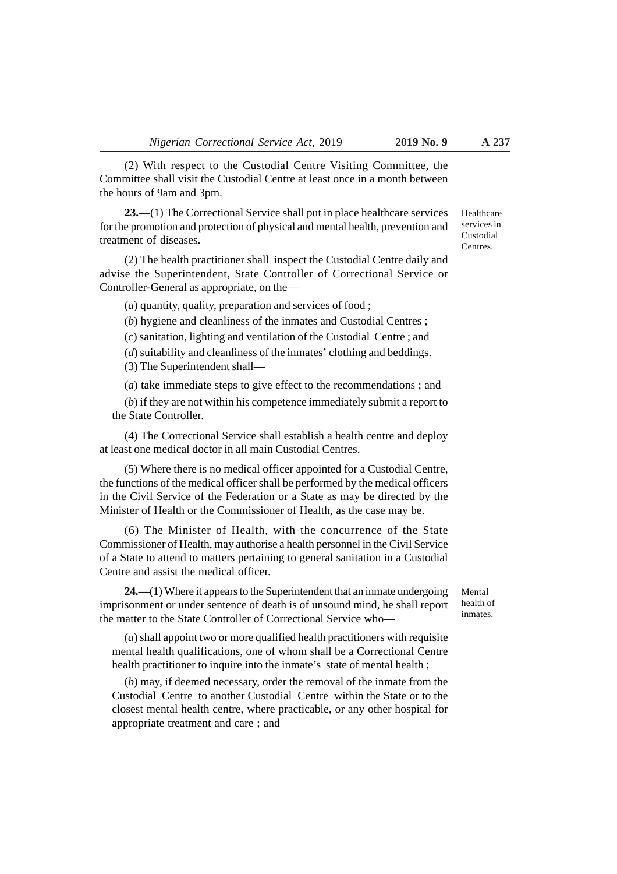(2) With respect to the Custodial Centre Visiting Committee, the Committee shall visit the Custodial Centre at least once in a month between the hours of 9am and 3pm.

**23.**—(1) The Correctional Service shall put in place healthcare services for the promotion and protection of physical and mental health, prevention and treatment of diseases.

(2) The health practitioner shall inspect the Custodial Centre daily and advise the Superintendent, State Controller of Correctional Service or Controller-General as appropriate, on the—

(*a*) quantity, quality, preparation and services of food ;

(*b*) hygiene and cleanliness of the inmates and Custodial Centres ;

(*c*) sanitation, lighting and ventilation of the Custodial Centre ; and

(*d*) suitability and cleanliness of the inmates' clothing and beddings. (3) The Superintendent shall—

(*a*) take immediate steps to give effect to the recommendations ; and

(*b*) if they are not within his competence immediately submit a report to the State Controller.

(4) The Correctional Service shall establish a health centre and deploy at least one medical doctor in all main Custodial Centres.

(5) Where there is no medical officer appointed for a Custodial Centre, the functions of the medical officer shall be performed by the medical officers in the Civil Service of the Federation or a State as may be directed by the Minister of Health or the Commissioner of Health, as the case may be.

(6) The Minister of Health, with the concurrence of the State Commissioner of Health, may authorise a health personnel in the Civil Service of a State to attend to matters pertaining to general sanitation in a Custodial Centre and assist the medical officer.

**24.**—(1) Where it appears to the Superintendent that an inmate undergoing imprisonment or under sentence of death is of unsound mind, he shall report the matter to the State Controller of Correctional Service who—

(*a*) shall appoint two or more qualified health practitioners with requisite mental health qualifications, one of whom shall be a Correctional Centre health practitioner to inquire into the inmate's state of mental health ;

(*b*) may, if deemed necessary, order the removal of the inmate from the Custodial Centre to another Custodial Centre within the State or to the closest mental health centre, where practicable, or any other hospital for appropriate treatment and care ; and

Mental health of inmates.

Healthcare services in Custodial Centres.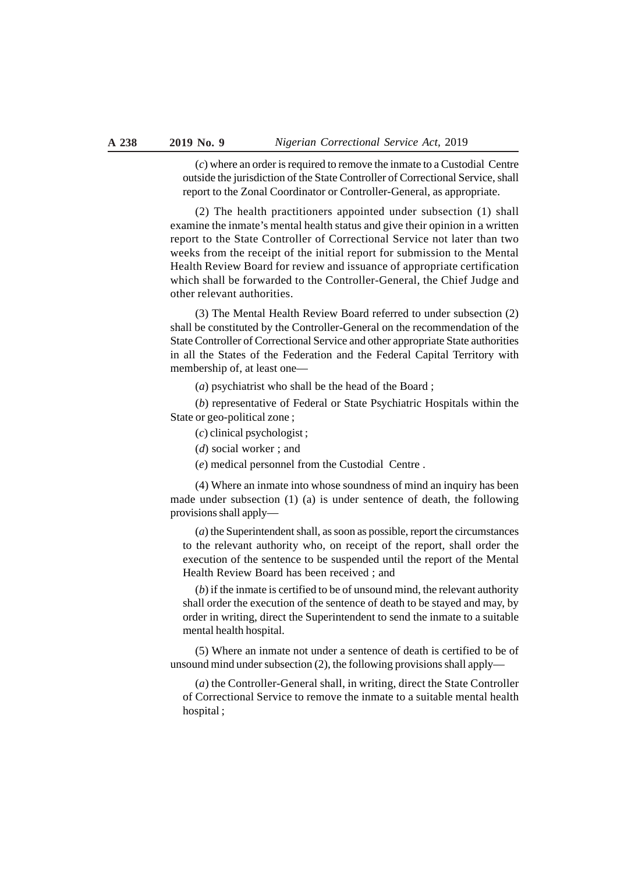(*c*) where an order is required to remove the inmate to a Custodial Centre outside the jurisdiction of the State Controller of Correctional Service, shall report to the Zonal Coordinator or Controller-General, as appropriate.

(2) The health practitioners appointed under subsection (1) shall examine the inmate's mental health status and give their opinion in a written report to the State Controller of Correctional Service not later than two weeks from the receipt of the initial report for submission to the Mental Health Review Board for review and issuance of appropriate certification which shall be forwarded to the Controller-General, the Chief Judge and other relevant authorities.

(3) The Mental Health Review Board referred to under subsection (2) shall be constituted by the Controller-General on the recommendation of the State Controller of Correctional Service and other appropriate State authorities in all the States of the Federation and the Federal Capital Territory with membership of, at least one—

(*a*) psychiatrist who shall be the head of the Board ;

(*b*) representative of Federal or State Psychiatric Hospitals within the State or geo-political zone ;

(*c*) clinical psychologist ;

(*d*) social worker ; and

(*e*) medical personnel from the Custodial Centre .

(4) Where an inmate into whose soundness of mind an inquiry has been made under subsection (1) (a) is under sentence of death, the following provisions shall apply—

(*a*) the Superintendent shall, as soon as possible, report the circumstances to the relevant authority who, on receipt of the report, shall order the execution of the sentence to be suspended until the report of the Mental Health Review Board has been received ; and

(*b*) if the inmate is certified to be of unsound mind, the relevant authority shall order the execution of the sentence of death to be stayed and may, by order in writing, direct the Superintendent to send the inmate to a suitable mental health hospital.

(5) Where an inmate not under a sentence of death is certified to be of unsound mind under subsection (2), the following provisions shall apply—

(*a*) the Controller-General shall, in writing, direct the State Controller of Correctional Service to remove the inmate to a suitable mental health hospital ;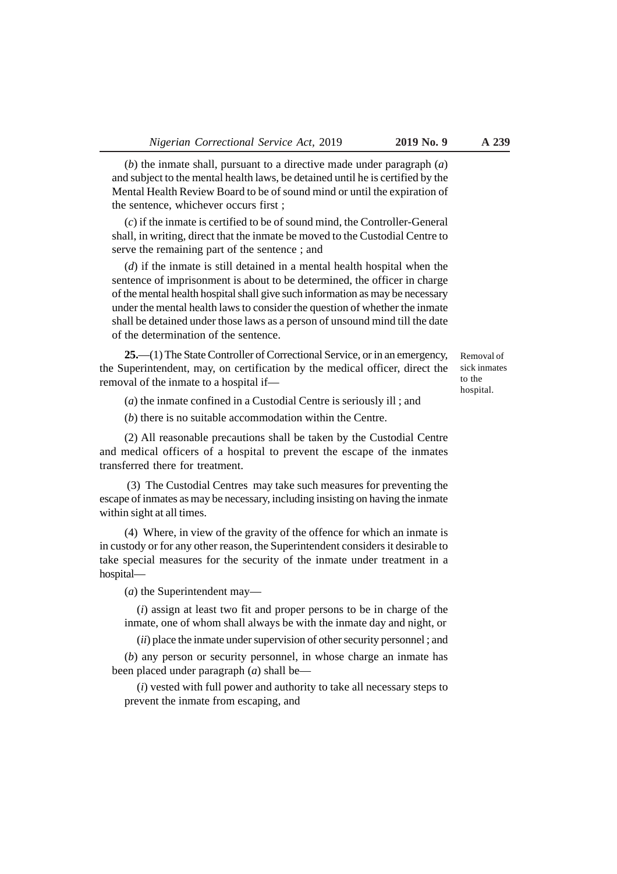(*b*) the inmate shall, pursuant to a directive made under paragraph (*a*) and subject to the mental health laws, be detained until he is certified by the Mental Health Review Board to be of sound mind or until the expiration of the sentence, whichever occurs first ;

(*c*) if the inmate is certified to be of sound mind, the Controller-General shall, in writing, direct that the inmate be moved to the Custodial Centre to serve the remaining part of the sentence ; and

(*d*) if the inmate is still detained in a mental health hospital when the sentence of imprisonment is about to be determined, the officer in charge of the mental health hospital shall give such information as may be necessary under the mental health laws to consider the question of whether the inmate shall be detained under those laws as a person of unsound mind till the date of the determination of the sentence.

**25.**—(1) The State Controller of Correctional Service, or in an emergency, the Superintendent, may, on certification by the medical officer, direct the removal of the inmate to a hospital if—

(*a*) the inmate confined in a Custodial Centre is seriously ill ; and

(*b*) there is no suitable accommodation within the Centre.

(2) All reasonable precautions shall be taken by the Custodial Centre and medical officers of a hospital to prevent the escape of the inmates transferred there for treatment.

 (3) The Custodial Centres may take such measures for preventing the escape of inmates as may be necessary, including insisting on having the inmate within sight at all times.

(4) Where, in view of the gravity of the offence for which an inmate is in custody or for any other reason, the Superintendent considers it desirable to take special measures for the security of the inmate under treatment in a hospital—

(*a*) the Superintendent may—

(*i*) assign at least two fit and proper persons to be in charge of the inmate, one of whom shall always be with the inmate day and night, or

(*ii*) place the inmate under supervision of other security personnel ; and

(*b*) any person or security personnel, in whose charge an inmate has been placed under paragraph (*a*) shall be—

(*i*) vested with full power and authority to take all necessary steps to prevent the inmate from escaping, and

Removal of sick inmates to the hospital.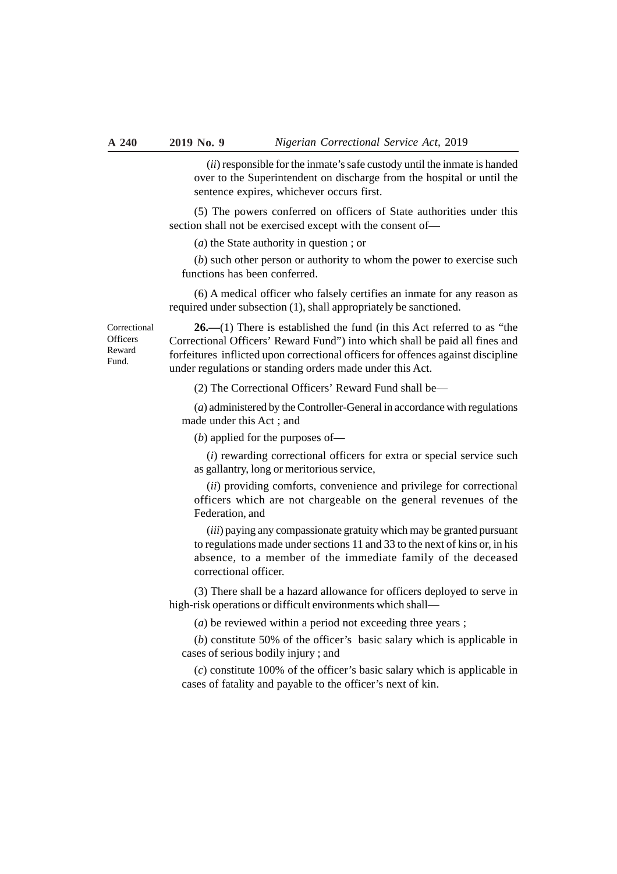(*ii*) responsible for the inmate's safe custody until the inmate is handed over to the Superintendent on discharge from the hospital or until the sentence expires, whichever occurs first.

(5) The powers conferred on officers of State authorities under this section shall not be exercised except with the consent of—

(*a*) the State authority in question ; or

(*b*) such other person or authority to whom the power to exercise such functions has been conferred.

(6) A medical officer who falsely certifies an inmate for any reason as required under subsection (1), shall appropriately be sanctioned.

Correctional **Officers** Reward Fund.

**26.—**(1) There is established the fund (in this Act referred to as "the Correctional Officers' Reward Fund") into which shall be paid all fines and forfeitures inflicted upon correctional officers for offences against discipline under regulations or standing orders made under this Act.

(2) The Correctional Officers' Reward Fund shall be—

(*a*) administered by the Controller-General in accordance with regulations made under this Act ; and

(*b*) applied for the purposes of—

(*i*) rewarding correctional officers for extra or special service such as gallantry, long or meritorious service,

(*ii*) providing comforts, convenience and privilege for correctional officers which are not chargeable on the general revenues of the Federation, and

(*iii*) paying any compassionate gratuity which may be granted pursuant to regulations made under sections 11 and 33 to the next of kins or, in his absence, to a member of the immediate family of the deceased correctional officer.

(3) There shall be a hazard allowance for officers deployed to serve in high-risk operations or difficult environments which shall—

(*a*) be reviewed within a period not exceeding three years ;

(*b*) constitute 50% of the officer's basic salary which is applicable in cases of serious bodily injury ; and

(*c*) constitute 100% of the officer's basic salary which is applicable in cases of fatality and payable to the officer's next of kin.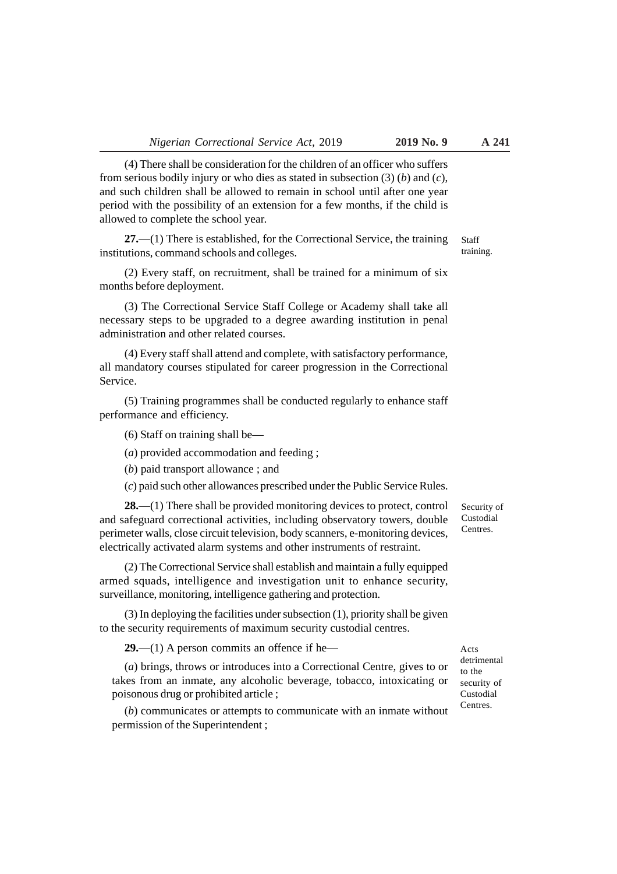(4) There shall be consideration for the children of an officer who suffers from serious bodily injury or who dies as stated in subsection (3) (*b*) and (*c*), and such children shall be allowed to remain in school until after one year period with the possibility of an extension for a few months, if the child is allowed to complete the school year.

**27.**—(1) There is established, for the Correctional Service, the training institutions, command schools and colleges.

(2) Every staff, on recruitment, shall be trained for a minimum of six months before deployment.

(3) The Correctional Service Staff College or Academy shall take all necessary steps to be upgraded to a degree awarding institution in penal administration and other related courses.

(4) Every staff shall attend and complete, with satisfactory performance, all mandatory courses stipulated for career progression in the Correctional Service.

(5) Training programmes shall be conducted regularly to enhance staff performance and efficiency.

(6) Staff on training shall be—

(*a*) provided accommodation and feeding ;

(*b*) paid transport allowance ; and

(*c*) paid such other allowances prescribed under the Public Service Rules.

**28.**—(1) There shall be provided monitoring devices to protect, control and safeguard correctional activities, including observatory towers, double perimeter walls, close circuit television, body scanners, e-monitoring devices, electrically activated alarm systems and other instruments of restraint.

(2) The Correctional Service shall establish and maintain a fully equipped armed squads, intelligence and investigation unit to enhance security, surveillance, monitoring, intelligence gathering and protection.

(3) In deploying the facilities under subsection (1), priority shall be given to the security requirements of maximum security custodial centres.

**29.**—(1) A person commits an offence if he—

(*a*) brings, throws or introduces into a Correctional Centre, gives to or takes from an inmate, any alcoholic beverage, tobacco, intoxicating or poisonous drug or prohibited article ;

(*b*) communicates or attempts to communicate with an inmate without permission of the Superintendent ;

Acts detrimental to the security of Custodial Centres.

Security of Custodial Centres.

Staff training.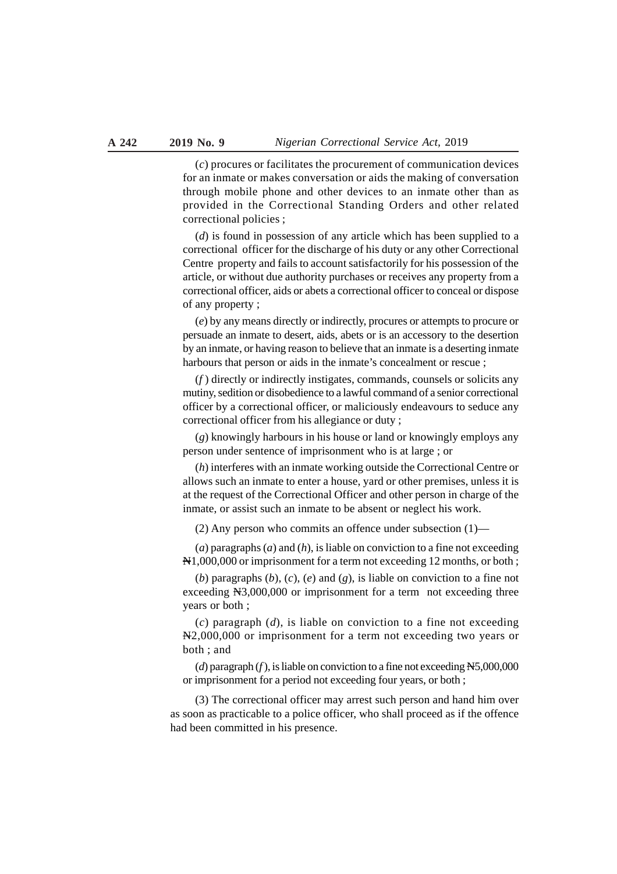(*c*) procures or facilitates the procurement of communication devices for an inmate or makes conversation or aids the making of conversation through mobile phone and other devices to an inmate other than as provided in the Correctional Standing Orders and other related correctional policies ;

(*d*) is found in possession of any article which has been supplied to a correctional officer for the discharge of his duty or any other Correctional Centre property and fails to account satisfactorily for his possession of the article, or without due authority purchases or receives any property from a correctional officer, aids or abets a correctional officer to conceal or dispose of any property ;

(*e*) by any means directly or indirectly, procures or attempts to procure or persuade an inmate to desert, aids, abets or is an accessory to the desertion by an inmate, or having reason to believe that an inmate is a deserting inmate harbours that person or aids in the inmate's concealment or rescue;

(*f* ) directly or indirectly instigates, commands, counsels or solicits any mutiny, sedition or disobedience to a lawful command of a senior correctional officer by a correctional officer, or maliciously endeavours to seduce any correctional officer from his allegiance or duty ;

(*g*) knowingly harbours in his house or land or knowingly employs any person under sentence of imprisonment who is at large ; or

(*h*) interferes with an inmate working outside the Correctional Centre or allows such an inmate to enter a house, yard or other premises, unless it is at the request of the Correctional Officer and other person in charge of the inmate, or assist such an inmate to be absent or neglect his work.

(2) Any person who commits an offence under subsection (1)—

(*a*) paragraphs (*a*) and (*h*), is liable on conviction to a fine not exceeding N<sub>1</sub>,000,000 or imprisonment for a term not exceeding 12 months, or both;

(*b*) paragraphs (*b*), (*c*), (*e*) and (*g*), is liable on conviction to a fine not exceeding N3,000,000 or imprisonment for a term not exceeding three years or both ;

(*c*) paragraph (*d*), is liable on conviction to a fine not exceeding N2,000,000 or imprisonment for a term not exceeding two years or both ; and

(*d*) paragraph (*f* ), is liable on conviction to a fine not exceeding N5,000,000 or imprisonment for a period not exceeding four years, or both ;

(3) The correctional officer may arrest such person and hand him over as soon as practicable to a police officer, who shall proceed as if the offence had been committed in his presence.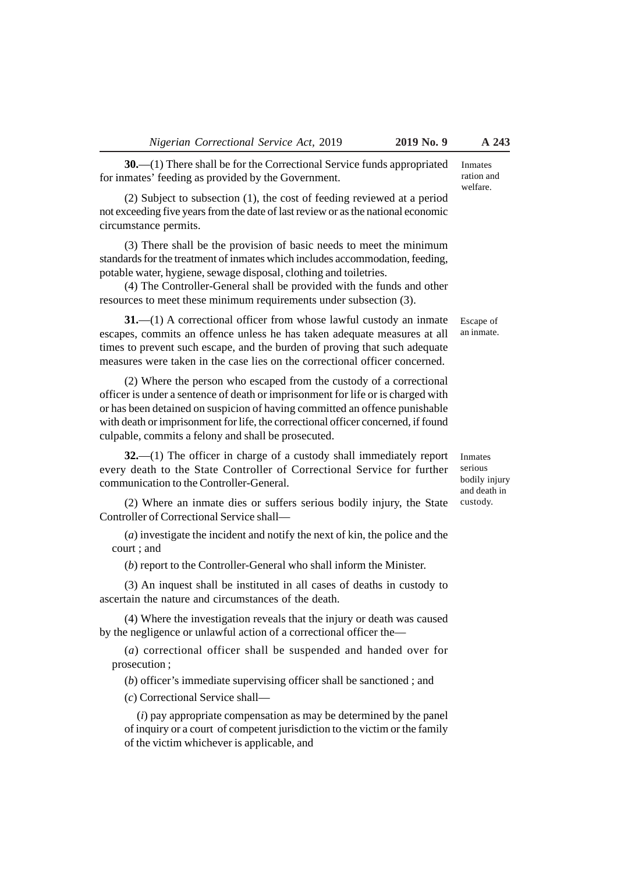**30.**—(1) There shall be for the Correctional Service funds appropriated for inmates' feeding as provided by the Government.

(2) Subject to subsection (1), the cost of feeding reviewed at a period not exceeding five years from the date of last review or as the national economic circumstance permits.

(3) There shall be the provision of basic needs to meet the minimum standards for the treatment of inmates which includes accommodation, feeding, potable water, hygiene, sewage disposal, clothing and toiletries.

(4) The Controller-General shall be provided with the funds and other resources to meet these minimum requirements under subsection (3).

**31.**—(1) A correctional officer from whose lawful custody an inmate escapes, commits an offence unless he has taken adequate measures at all times to prevent such escape, and the burden of proving that such adequate measures were taken in the case lies on the correctional officer concerned.

(2) Where the person who escaped from the custody of a correctional officer is under a sentence of death or imprisonment for life or is charged with or has been detained on suspicion of having committed an offence punishable with death or imprisonment for life, the correctional officer concerned, if found culpable, commits a felony and shall be prosecuted.

**32.**—(1) The officer in charge of a custody shall immediately report every death to the State Controller of Correctional Service for further communication to the Controller-General.

(2) Where an inmate dies or suffers serious bodily injury, the State Controller of Correctional Service shall—

(*a*) investigate the incident and notify the next of kin, the police and the court ; and

(*b*) report to the Controller-General who shall inform the Minister.

(3) An inquest shall be instituted in all cases of deaths in custody to ascertain the nature and circumstances of the death.

(4) Where the investigation reveals that the injury or death was caused by the negligence or unlawful action of a correctional officer the—

(*a*) correctional officer shall be suspended and handed over for prosecution ;

(*b*) officer's immediate supervising officer shall be sanctioned ; and

(*c*) Correctional Service shall—

(*i*) pay appropriate compensation as may be determined by the panel of inquiry or a court of competent jurisdiction to the victim or the family of the victim whichever is applicable, and

Inmates serious bodily injury and death in custody.

Inmates ration and welfare.

Escape of an inmate.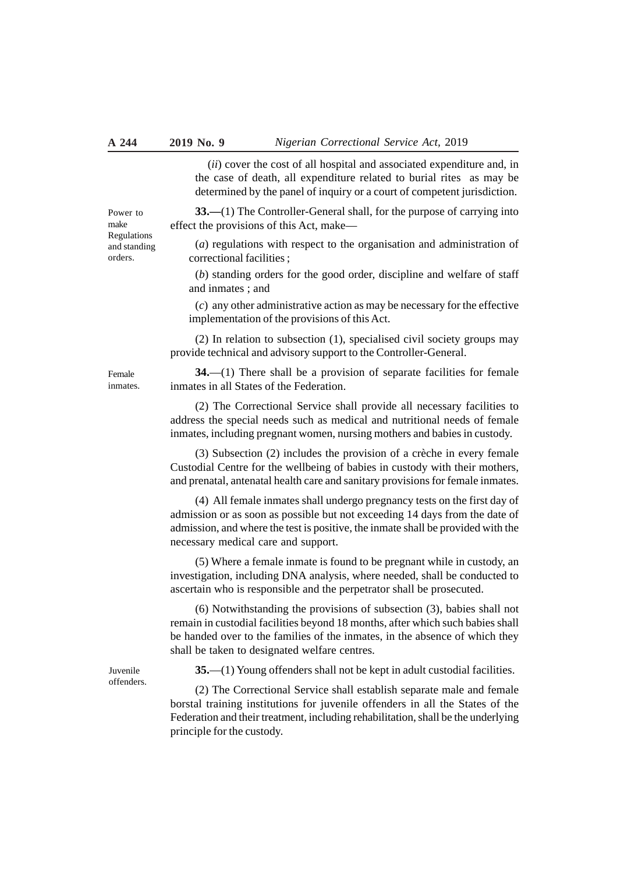(*ii*) cover the cost of all hospital and associated expenditure and, in the case of death, all expenditure related to burial rites as may be determined by the panel of inquiry or a court of competent jurisdiction.

**33.—**(1) The Controller-General shall, for the purpose of carrying into effect the provisions of this Act, make—

(*a*) regulations with respect to the organisation and administration of correctional facilities ;

(*b*) standing orders for the good order, discipline and welfare of staff and inmates ; and

(*c*) any other administrative action as may be necessary for the effective implementation of the provisions of this Act.

(2) In relation to subsection (1), specialised civil society groups may provide technical and advisory support to the Controller-General.

**34.**—(1) There shall be a provision of separate facilities for female inmates in all States of the Federation.

(2) The Correctional Service shall provide all necessary facilities to address the special needs such as medical and nutritional needs of female inmates, including pregnant women, nursing mothers and babies in custody.

(3) Subsection (2) includes the provision of a crèche in every female Custodial Centre for the wellbeing of babies in custody with their mothers, and prenatal, antenatal health care and sanitary provisions for female inmates.

(4) All female inmates shall undergo pregnancy tests on the first day of admission or as soon as possible but not exceeding 14 days from the date of admission, and where the test is positive, the inmate shall be provided with the necessary medical care and support.

(5) Where a female inmate is found to be pregnant while in custody, an investigation, including DNA analysis, where needed, shall be conducted to ascertain who is responsible and the perpetrator shall be prosecuted.

(6) Notwithstanding the provisions of subsection (3), babies shall not remain in custodial facilities beyond 18 months, after which such babies shall be handed over to the families of the inmates, in the absence of which they shall be taken to designated welfare centres.

**35.**—(1) Young offenders shall not be kept in adult custodial facilities.

(2) The Correctional Service shall establish separate male and female borstal training institutions for juvenile offenders in all the States of the Federation and their treatment, including rehabilitation, shall be the underlying principle for the custody.

Power to make Regulations and standing orders.

Female inmates.

Juvenile offenders.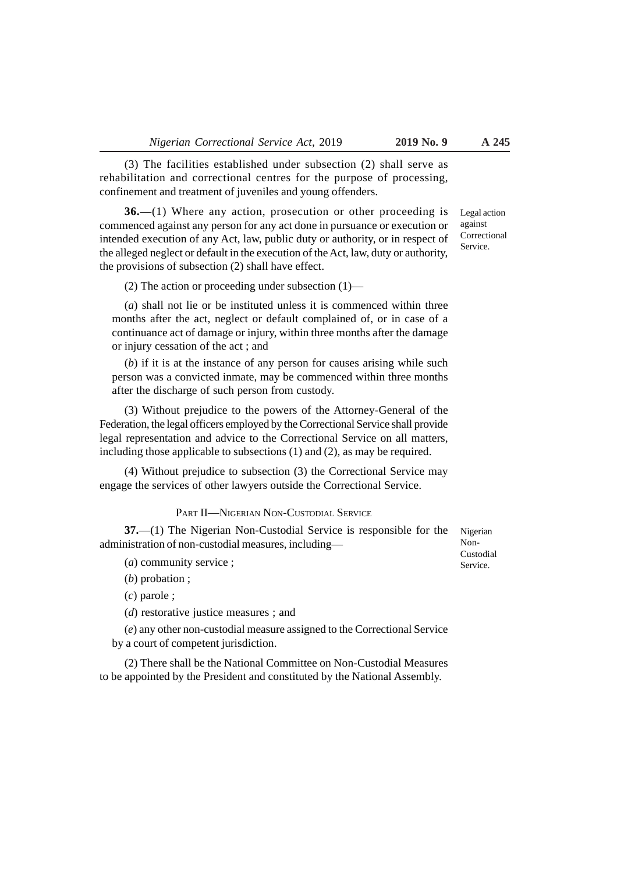(3) The facilities established under subsection (2) shall serve as rehabilitation and correctional centres for the purpose of processing, confinement and treatment of juveniles and young offenders.

**36.**—(1) Where any action, prosecution or other proceeding is commenced against any person for any act done in pursuance or execution or intended execution of any Act, law, public duty or authority, or in respect of the alleged neglect or default in the execution of the Act, law, duty or authority, the provisions of subsection (2) shall have effect.

(2) The action or proceeding under subsection (1)—

(*a*) shall not lie or be instituted unless it is commenced within three months after the act, neglect or default complained of, or in case of a continuance act of damage or injury, within three months after the damage or injury cessation of the act ; and

(*b*) if it is at the instance of any person for causes arising while such person was a convicted inmate, may be commenced within three months after the discharge of such person from custody.

(3) Without prejudice to the powers of the Attorney-General of the Federation, the legal officers employed by the Correctional Service shall provide legal representation and advice to the Correctional Service on all matters, including those applicable to subsections (1) and (2), as may be required.

(4) Without prejudice to subsection (3) the Correctional Service may engage the services of other lawyers outside the Correctional Service.

#### PART II—NIGERIAN NON-CUSTODIAL SERVICE

**37.**—(1) The Nigerian Non-Custodial Service is responsible for the administration of non-custodial measures, including—

(*a*) community service ;

(*b*) probation ;

(*c*) parole ;

(*d*) restorative justice measures ; and

(*e*) any other non-custodial measure assigned to the Correctional Service by a court of competent jurisdiction.

(2) There shall be the National Committee on Non-Custodial Measures to be appointed by the President and constituted by the National Assembly.

Nigerian Non-Custodial Service.

Legal action against Correctional Service.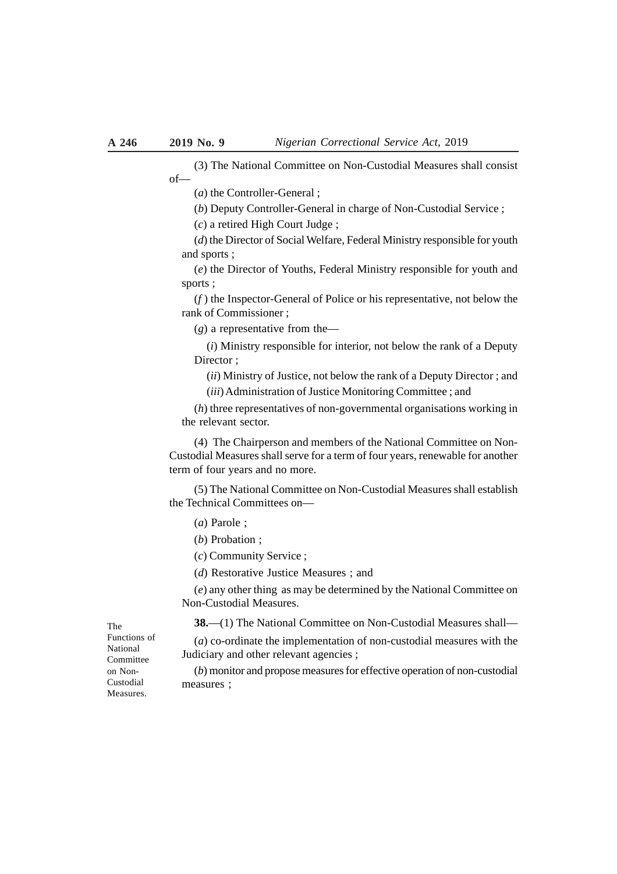(3) The National Committee on Non-Custodial Measures shall consist of—

(*a*) the Controller-General ;

(*b*) Deputy Controller-General in charge of Non-Custodial Service ;

(*c*) a retired High Court Judge ;

(*d*) the Director of Social Welfare, Federal Ministry responsible for youth and sports ;

(*e*) the Director of Youths, Federal Ministry responsible for youth and sports ;

(*f* ) the Inspector-General of Police or his representative, not below the rank of Commissioner ;

(*g*) a representative from the—

(*i*) Ministry responsible for interior, not below the rank of a Deputy Director:

(*ii*) Ministry of Justice, not below the rank of a Deputy Director ; and (*iii*) Administration of Justice Monitoring Committee ; and

(*h*) three representatives of non-governmental organisations working in the relevant sector.

(4) The Chairperson and members of the National Committee on Non-Custodial Measures shall serve for a term of four years, renewable for another term of four years and no more.

(5) The National Committee on Non-Custodial Measures shall establish the Technical Committees on—

(*a*) Parole ;

(*b*) Probation ;

(*c*) Community Service ;

(*d*) Restorative Justice Measures ; and

(*e*) any other thing as may be determined by the National Committee on Non-Custodial Measures.

**38.**—(1) The National Committee on Non-Custodial Measures shall—

(*a*) co-ordinate the implementation of non-custodial measures with the Judiciary and other relevant agencies ;

(*b*) monitor and propose measures for effective operation of non-custodial measures ;

The Functions of National **Committee** on Non-Custodial Measures.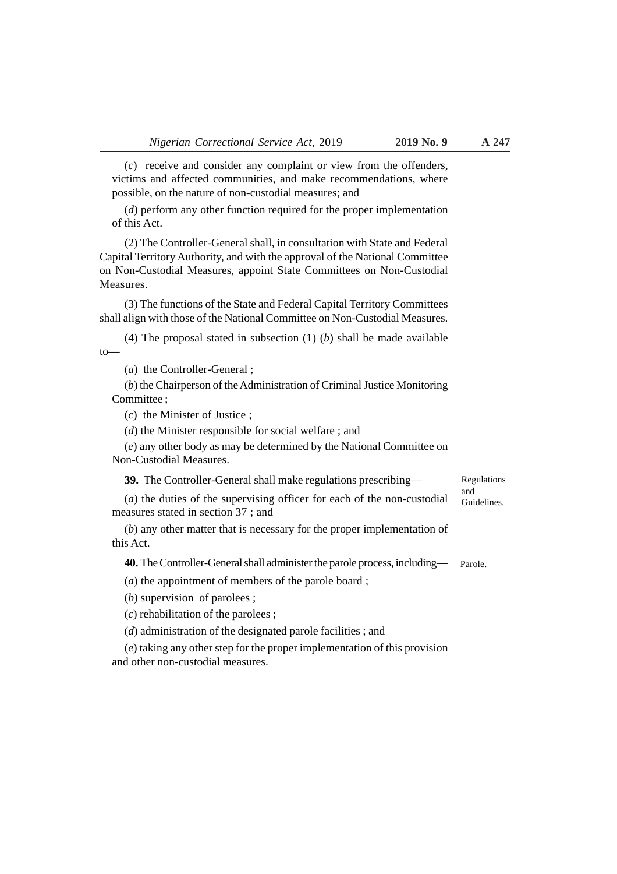(*c*) receive and consider any complaint or view from the offenders, victims and affected communities, and make recommendations, where possible, on the nature of non-custodial measures; and

(*d*) perform any other function required for the proper implementation of this Act.

(2) The Controller-General shall, in consultation with State and Federal Capital Territory Authority, and with the approval of the National Committee on Non-Custodial Measures, appoint State Committees on Non-Custodial Measures.

(3) The functions of the State and Federal Capital Territory Committees shall align with those of the National Committee on Non-Custodial Measures.

(4) The proposal stated in subsection (1) (*b*) shall be made available to—

(*a*) the Controller-General ;

(*b*) the Chairperson of the Administration of Criminal Justice Monitoring Committee ;

(*c*) the Minister of Justice ;

(*d*) the Minister responsible for social welfare ; and

(*e*) any other body as may be determined by the National Committee on Non-Custodial Measures.

**39.** The Controller-General shall make regulations prescribing—

Regulations and Guidelines.

(*a*) the duties of the supervising officer for each of the non-custodial measures stated in section 37 ; and

(*b*) any other matter that is necessary for the proper implementation of this Act.

**40.** The Controller-General shall administer the parole process, including— Parole.

(*a*) the appointment of members of the parole board ;

(*b*) supervision of parolees ;

(*c*) rehabilitation of the parolees ;

(*d*) administration of the designated parole facilities ; and

(*e*) taking any other step for the proper implementation of this provision and other non-custodial measures.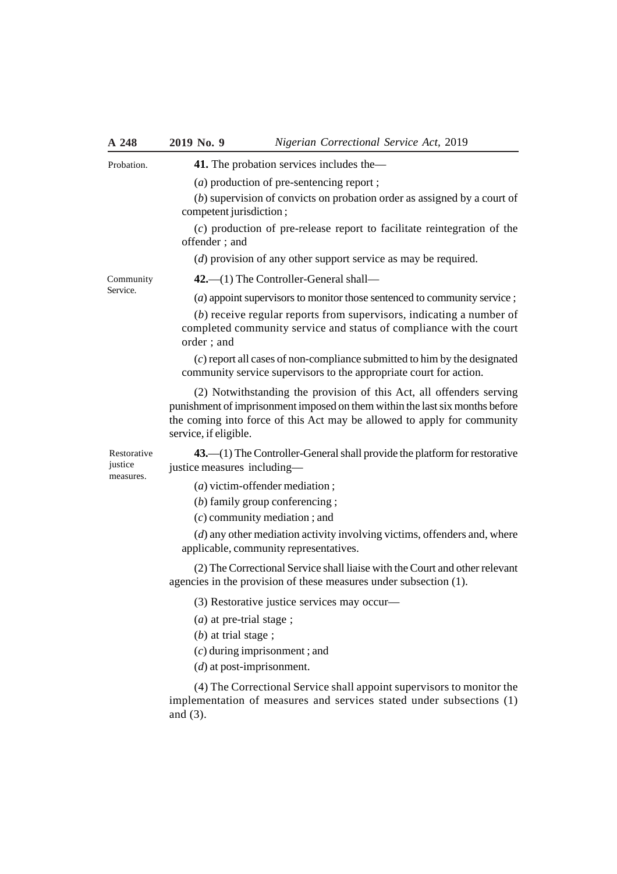| A 248                               | 2019 No. 9                                                                                            | Nigerian Correctional Service Act, 2019                                                                                                                                                                                         |  |  |
|-------------------------------------|-------------------------------------------------------------------------------------------------------|---------------------------------------------------------------------------------------------------------------------------------------------------------------------------------------------------------------------------------|--|--|
| Probation.                          | 41. The probation services includes the—                                                              |                                                                                                                                                                                                                                 |  |  |
|                                     |                                                                                                       | (a) production of pre-sentencing report;                                                                                                                                                                                        |  |  |
|                                     | $(b)$ supervision of convicts on probation order as assigned by a court of<br>competent jurisdiction; |                                                                                                                                                                                                                                 |  |  |
|                                     | offender; and                                                                                         | $(c)$ production of pre-release report to facilitate reintegration of the                                                                                                                                                       |  |  |
|                                     |                                                                                                       | $(d)$ provision of any other support service as may be required.                                                                                                                                                                |  |  |
| Community<br>Service.               |                                                                                                       | $42$ . $-$ (1) The Controller-General shall-                                                                                                                                                                                    |  |  |
|                                     |                                                                                                       | (a) appoint supervisors to monitor those sentenced to community service;                                                                                                                                                        |  |  |
|                                     | order; and                                                                                            | $(b)$ receive regular reports from supervisors, indicating a number of<br>completed community service and status of compliance with the court                                                                                   |  |  |
|                                     |                                                                                                       | $(c)$ report all cases of non-compliance submitted to him by the designated<br>community service supervisors to the appropriate court for action.                                                                               |  |  |
|                                     | service, if eligible.                                                                                 | (2) Notwithstanding the provision of this Act, all offenders serving<br>punishment of imprisonment imposed on them within the last six months before<br>the coming into force of this Act may be allowed to apply for community |  |  |
| Restorative<br>justice<br>measures. | justice measures including-                                                                           | $43$ . $-(1)$ The Controller-General shall provide the platform for restorative                                                                                                                                                 |  |  |
|                                     |                                                                                                       | $(a)$ victim-offender mediation;                                                                                                                                                                                                |  |  |
|                                     |                                                                                                       | $(b)$ family group conferencing;                                                                                                                                                                                                |  |  |
|                                     |                                                                                                       | $(c)$ community mediation; and                                                                                                                                                                                                  |  |  |
|                                     |                                                                                                       | $(d)$ any other mediation activity involving victims, offenders and, where<br>applicable, community representatives.                                                                                                            |  |  |
|                                     |                                                                                                       | (2) The Correctional Service shall liaise with the Court and other relevant<br>agencies in the provision of these measures under subsection (1).                                                                                |  |  |
|                                     |                                                                                                       | (3) Restorative justice services may occur-                                                                                                                                                                                     |  |  |
|                                     | $(a)$ at pre-trial stage;<br>$(b)$ at trial stage;                                                    | $(c)$ during imprisonment; and                                                                                                                                                                                                  |  |  |
|                                     | $(d)$ at post-imprisonment.                                                                           |                                                                                                                                                                                                                                 |  |  |
|                                     | and $(3)$ .                                                                                           | (4) The Correctional Service shall appoint supervisors to monitor the<br>implementation of measures and services stated under subsections (1)                                                                                   |  |  |
|                                     |                                                                                                       |                                                                                                                                                                                                                                 |  |  |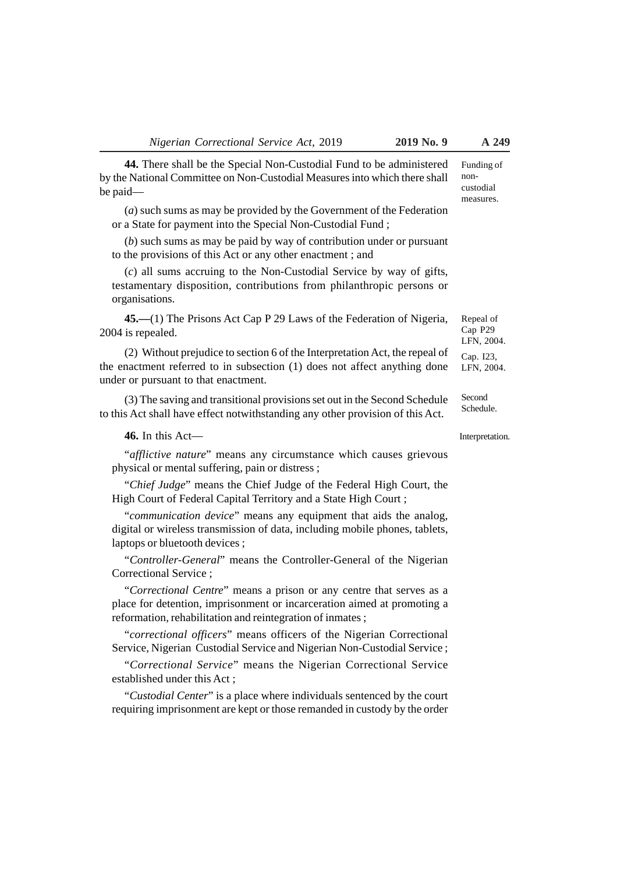**44.** There shall be the Special Non-Custodial Fund to be administered by the National Committee on Non-Custodial Measures into which there shall be paid—

(*a*) such sums as may be provided by the Government of the Federation or a State for payment into the Special Non-Custodial Fund ;

(*b*) such sums as may be paid by way of contribution under or pursuant to the provisions of this Act or any other enactment ; and

(*c*) all sums accruing to the Non-Custodial Service by way of gifts, testamentary disposition, contributions from philanthropic persons or organisations.

**45.—**(1) The Prisons Act Cap P 29 Laws of the Federation of Nigeria, 2004 is repealed.

(2) Without prejudice to section 6 of the Interpretation Act, the repeal of the enactment referred to in subsection (1) does not affect anything done under or pursuant to that enactment.

(3) The saving and transitional provisions set out in the Second Schedule to this Act shall have effect notwithstanding any other provision of this Act.

**46.** In this Act—

"*afflictive nature*" means any circumstance which causes grievous physical or mental suffering, pain or distress ;

"*Chief Judge*" means the Chief Judge of the Federal High Court, the High Court of Federal Capital Territory and a State High Court ;

"*communication device*" means any equipment that aids the analog, digital or wireless transmission of data, including mobile phones, tablets, laptops or bluetooth devices ;

"*Controller-General*" means the Controller-General of the Nigerian Correctional Service ;

"*Correctional Centre*" means a prison or any centre that serves as a place for detention, imprisonment or incarceration aimed at promoting a reformation, rehabilitation and reintegration of inmates ;

"*correctional officers*" means officers of the Nigerian Correctional Service, Nigerian Custodial Service and Nigerian Non-Custodial Service ;

"*Correctional Service*" means the Nigerian Correctional Service established under this Act ;

"*Custodial Center*" is a place where individuals sentenced by the court requiring imprisonment are kept or those remanded in custody by the order

Funding of noncustodial measures.

Repeal of Cap P29 LFN, 2004.

Cap. I23, LFN, 2004.

**Second** Schedule.

Interpretation.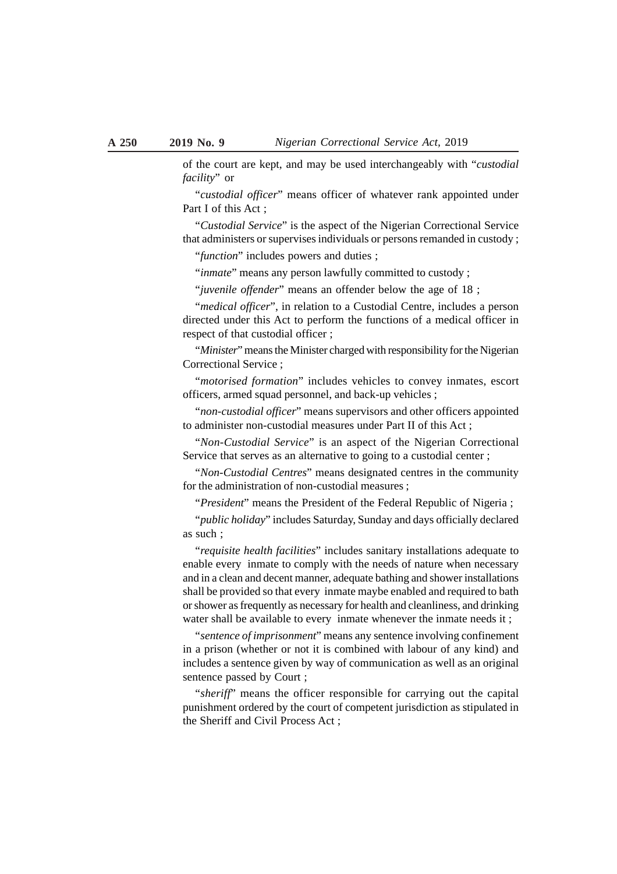of the court are kept, and may be used interchangeably with "*custodial facility*" or

"*custodial officer*" means officer of whatever rank appointed under Part I of this Act;

"*Custodial Service*" is the aspect of the Nigerian Correctional Service that administers or supervises individuals or persons remanded in custody ;

"*function*" includes powers and duties ;

"*inmate*" means any person lawfully committed to custody ;

"*juvenile offender*" means an offender below the age of 18 ;

"*medical officer*", in relation to a Custodial Centre, includes a person directed under this Act to perform the functions of a medical officer in respect of that custodial officer ;

"*Minister*" means the Minister charged with responsibility for the Nigerian Correctional Service ;

"*motorised formation*" includes vehicles to convey inmates, escort officers, armed squad personnel, and back-up vehicles ;

"*non-custodial officer*" means supervisors and other officers appointed to administer non-custodial measures under Part II of this Act ;

"*Non-Custodial Service*" is an aspect of the Nigerian Correctional Service that serves as an alternative to going to a custodial center;

"*Non-Custodial Centres*" means designated centres in the community for the administration of non-custodial measures ;

"*President*" means the President of the Federal Republic of Nigeria ;

"*public holiday*" includes Saturday, Sunday and days officially declared as such ;

"*requisite health facilities*" includes sanitary installations adequate to enable every inmate to comply with the needs of nature when necessary and in a clean and decent manner, adequate bathing and shower installations shall be provided so that every inmate maybe enabled and required to bath or shower as frequently as necessary for health and cleanliness, and drinking water shall be available to every inmate whenever the inmate needs it ;

"*sentence of imprisonment*" means any sentence involving confinement in a prison (whether or not it is combined with labour of any kind) and includes a sentence given by way of communication as well as an original sentence passed by Court ;

"*sheriff*" means the officer responsible for carrying out the capital punishment ordered by the court of competent jurisdiction as stipulated in the Sheriff and Civil Process Act ;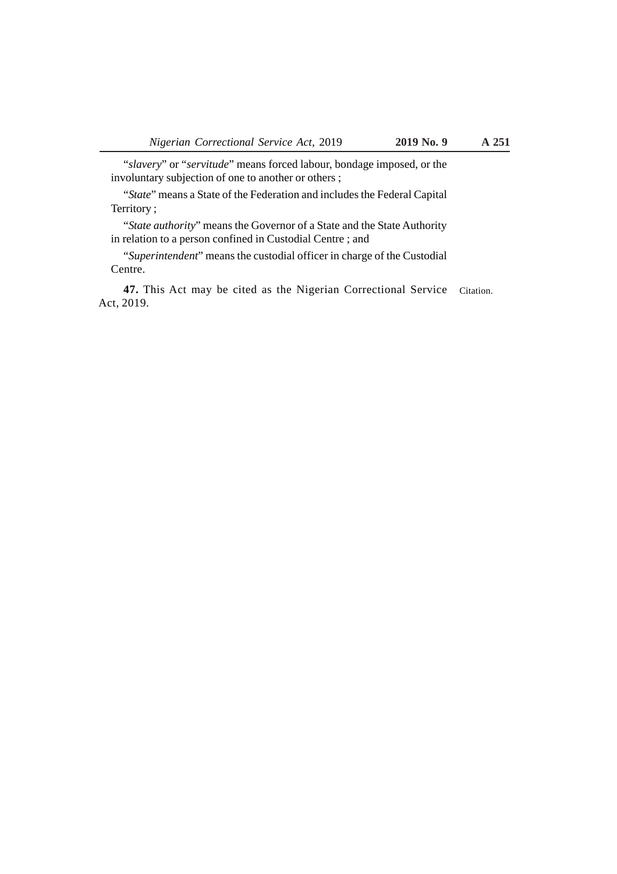"*slavery*" or "*servitude*" means forced labour, bondage imposed, or the involuntary subjection of one to another or others ;

"*State*" means a State of the Federation and includes the Federal Capital Territory ;

"*State authority*" means the Governor of a State and the State Authority in relation to a person confined in Custodial Centre ; and

"*Superintendent*" means the custodial officer in charge of the Custodial Centre.

47. This Act may be cited as the Nigerian Correctional Service Citation. Act, 2019.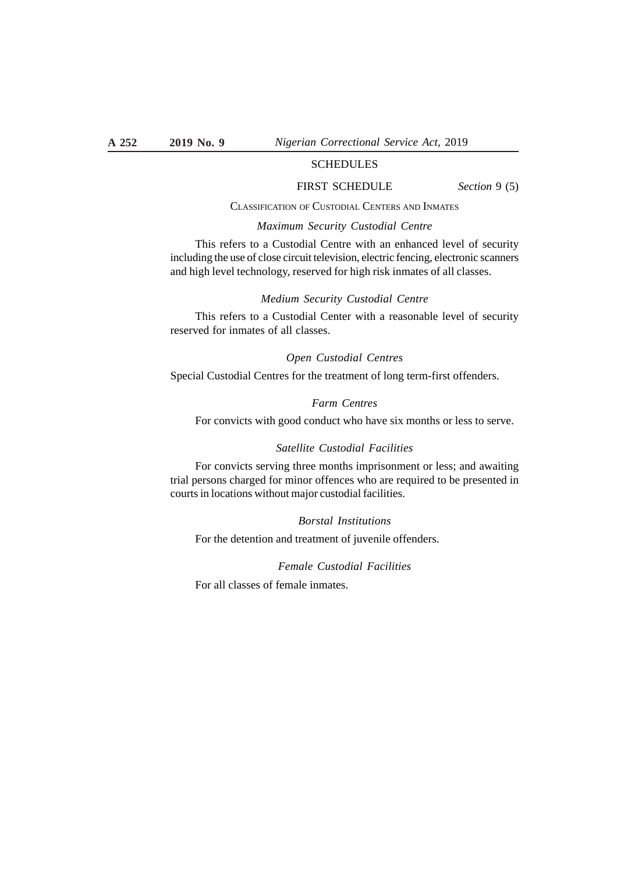# **SCHEDULES**

#### FIRST SCHEDULE *Section* 9 (5)

#### CLASSIFICATION OF CUSTODIAL CENTERS AND INMATES

# *Maximum Security Custodial Centre*

This refers to a Custodial Centre with an enhanced level of security including the use of close circuit television, electric fencing, electronic scanners and high level technology, reserved for high risk inmates of all classes.

#### *Medium Security Custodial Centre*

This refers to a Custodial Center with a reasonable level of security reserved for inmates of all classes.

#### *Open Custodial Centres*

Special Custodial Centres for the treatment of long term-first offenders.

# *Farm Centres*

For convicts with good conduct who have six months or less to serve.

#### *Satellite Custodial Facilities*

For convicts serving three months imprisonment or less; and awaiting trial persons charged for minor offences who are required to be presented in courts in locations without major custodial facilities.

#### *Borstal Institutions*

For the detention and treatment of juvenile offenders.

*Female Custodial Facilities*

For all classes of female inmates.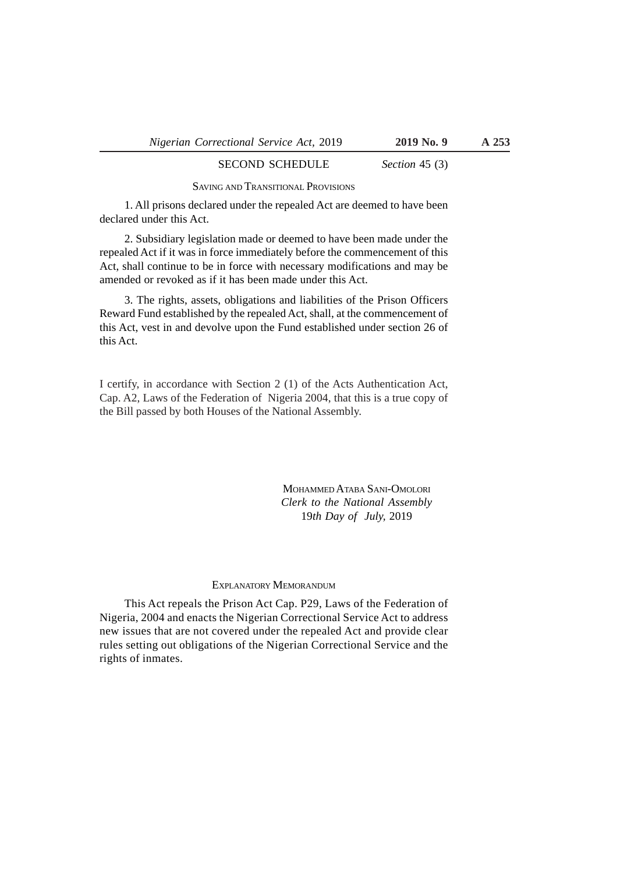# SECOND SCHEDULE *Section* 45 (3)

SAVING AND TRANSITIONAL PROVISIONS

1. All prisons declared under the repealed Act are deemed to have been declared under this Act.

2. Subsidiary legislation made or deemed to have been made under the repealed Act if it was in force immediately before the commencement of this Act, shall continue to be in force with necessary modifications and may be amended or revoked as if it has been made under this Act.

3. The rights, assets, obligations and liabilities of the Prison Officers Reward Fund established by the repealed Act, shall, at the commencement of this Act, vest in and devolve upon the Fund established under section 26 of this Act.

I certify, in accordance with Section 2 (1) of the Acts Authentication Act, Cap. A2, Laws of the Federation of Nigeria 2004, that this is a true copy of the Bill passed by both Houses of the National Assembly.

> MOHAMMED ATABA SANI-OMOLORI *Clerk to the National Assembly* 19*th Day of July,* 2019

#### EXPLANATORY MEMORANDUM

This Act repeals the Prison Act Cap. P29, Laws of the Federation of Nigeria, 2004 and enacts the Nigerian Correctional Service Act to address new issues that are not covered under the repealed Act and provide clear rules setting out obligations of the Nigerian Correctional Service and the rights of inmates.